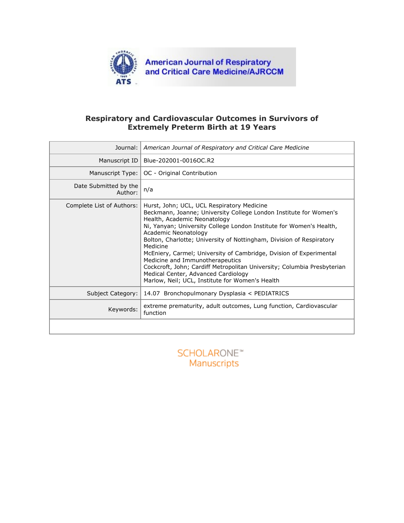

# **Respiratory and Cardiovascular Outcomes in Survivors of Extremely Preterm Birth at 19 Years**

| Journal:                         | American Journal of Respiratory and Critical Care Medicine                                                                                                                                                                                                                                                                                                                                                                                                                                                                                                                                                       |
|----------------------------------|------------------------------------------------------------------------------------------------------------------------------------------------------------------------------------------------------------------------------------------------------------------------------------------------------------------------------------------------------------------------------------------------------------------------------------------------------------------------------------------------------------------------------------------------------------------------------------------------------------------|
| Manuscript ID                    | Blue-202001-0016OC.R2                                                                                                                                                                                                                                                                                                                                                                                                                                                                                                                                                                                            |
| Manuscript Type:                 | OC - Original Contribution                                                                                                                                                                                                                                                                                                                                                                                                                                                                                                                                                                                       |
| Date Submitted by the<br>Author: | n/a                                                                                                                                                                                                                                                                                                                                                                                                                                                                                                                                                                                                              |
| Complete List of Authors:        | Hurst, John; UCL, UCL Respiratory Medicine<br>Beckmann, Joanne; University College London Institute for Women's<br>Health, Academic Neonatology<br>Ni, Yanyan; University College London Institute for Women's Health,<br>Academic Neonatology<br>Bolton, Charlotte; University of Nottingham, Division of Respiratory<br>Medicine<br>McEniery, Carmel; University of Cambridge, Dvision of Experimental<br>Medicine and Immunotherapeutics<br>Cockcroft, John; Cardiff Metropolitan University; Columbia Presbyterian<br>Medical Center, Advanced Cardiology<br>Marlow, Neil; UCL, Institute for Women's Health |
| <b>Subject Category:</b>         | 14.07 Bronchopulmonary Dysplasia < PEDIATRICS                                                                                                                                                                                                                                                                                                                                                                                                                                                                                                                                                                    |
| Keywords:                        | extreme prematurity, adult outcomes, Lung function, Cardiovascular<br>function                                                                                                                                                                                                                                                                                                                                                                                                                                                                                                                                   |
|                                  |                                                                                                                                                                                                                                                                                                                                                                                                                                                                                                                                                                                                                  |
|                                  |                                                                                                                                                                                                                                                                                                                                                                                                                                                                                                                                                                                                                  |

Manuscripts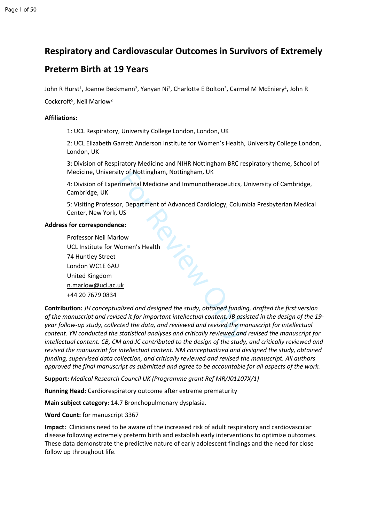# **Respiratory and Cardiovascular Outcomes in Survivors of Extremely**

# **Preterm Birth at 19 Years**

John R Hurst<sup>1</sup>, Joanne Beckmann<sup>2</sup>, Yanyan Ni<sup>2</sup>, Charlotte E Bolton<sup>3</sup>, Carmel M McEniery<sup>4</sup>, John R

Cockcroft<sup>5</sup>, Neil Marlow<sup>2</sup>

## **Affiliations:**

1: UCL Respiratory, University College London, London, UK

2: UCL Elizabeth Garrett Anderson Institute for Women's Health, University College London, London, UK

3: Division of Respiratory Medicine and NIHR Nottingham BRC respiratory theme, School of Medicine, University of Nottingham, Nottingham, UK

4: Division of Experimental Medicine and Immunotherapeutics, University of Cambridge, Cambridge, UK

5: Visiting Professor, Department of Advanced Cardiology, Columbia Presbyterian Medical Center, New York, US

## **Address for correspondence:**

Professor Neil Marlow UCL Institute for Women's Health 74 Huntley Street London WC1E 6AU United Kingdom [n.marlow@ucl.ac.uk](mailto:n.marlow@ucl.ac.uk) +44 20 7679 0834

ty of Nottingham, Nottingham, UK<br>
imental Medicine and Immunotherapeutics, U<br>
or, Department of Advanced Cardiology, Colum<br>
US<br>
ce:<br>
low<br>
'omen's Health<br>
Lized and designed the study, obtained funding<br>
review of it for imp **Contribution:** *JH conceptualized and designed the study, obtained funding, drafted the first version of the manuscript and revised it for important intellectual content. JB assisted in the design of the 19 year follow-up study, collected the data, and reviewed and revised the manuscript for intellectual content. YN conducted the statistical analyses and critically reviewed and revised the manuscript for intellectual content. CB, CM and JC contributed to the design of the study, and critically reviewed and revised the manuscript for intellectual content. NM conceptualized and designed the study, obtained funding, supervised data collection, and critically reviewed and revised the manuscript. All authors approved the final manuscript as submitted and agree to be accountable for all aspects of the work.*

**Support:** *Medical Research Council UK (Programme grant Ref MR/J01107X/1)*

**Running Head:** Cardiorespiratory outcome after extreme prematurity

**Main subject category:** 14.7 Bronchopulmonary dysplasia.

**Word Count:** for manuscript 3367

**Impact:** Clinicians need to be aware of the increased risk of adult respiratory and cardiovascular disease following extremely preterm birth and establish early interventions to optimize outcomes. These data demonstrate the predictive nature of early adolescent findings and the need for close follow up throughout life.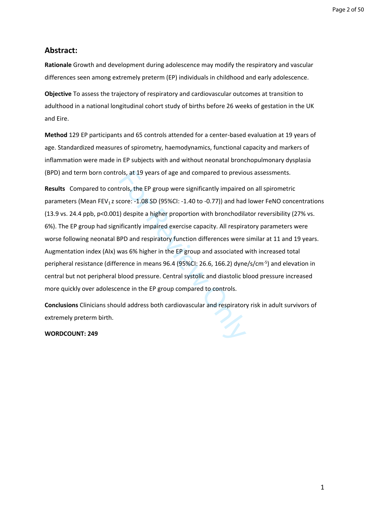## **Abstract:**

**Rationale** Growth and development during adolescence may modify the respiratory and vascular differences seen among extremely preterm (EP) individuals in childhood and early adolescence.

**Objective** To assess the trajectory of respiratory and cardiovascular outcomes at transition to adulthood in a national longitudinal cohort study of births before 26 weeks of gestation in the UK and Eire.

**Method** 129 EP participants and 65 controls attended for a center-based evaluation at 19 years of age. Standardized measures of spirometry, haemodynamics, functional capacity and markers of inflammation were made in EP subjects with and without neonatal bronchopulmonary dysplasia (BPD) and term born controls, at 19 years of age and compared to previous assessments.

ols, at 19 years of age and compared to previo<br>rols, the EP group were significantly impaired<br>core: -1.08 SD (95%Cl: -1.40 to -0.77)) and had<br>) despite a higher proportion with bronchodila<br>ificantly impaired exercise capac **Results** Compared to controls, the EP group were significantly impaired on all spirometric parameters (Mean FEV<sub>1</sub> z score: -1.08 SD (95%CI: -1.40 to -0.77)) and had lower FeNO concentrations (13.9 vs. 24.4 ppb, p<0.001) despite a higher proportion with bronchodilator reversibility (27% vs. 6%). The EP group had significantly impaired exercise capacity. All respiratory parameters were worse following neonatal BPD and respiratory function differences were similar at 11 and 19 years. Augmentation index (AIx) was 6% higher in the EP group and associated with increased total peripheral resistance (difference in means 96.4 (95%CI: 26.6, 166.2) dyne/s/cm-5) and elevation in central but not peripheral blood pressure. Central systolic and diastolic blood pressure increased more quickly over adolescence in the EP group compared to controls.

**Conclusions** Clinicians should address both cardiovascular and respiratory risk in adult survivors of extremely preterm birth.

**WORDCOUNT: 249**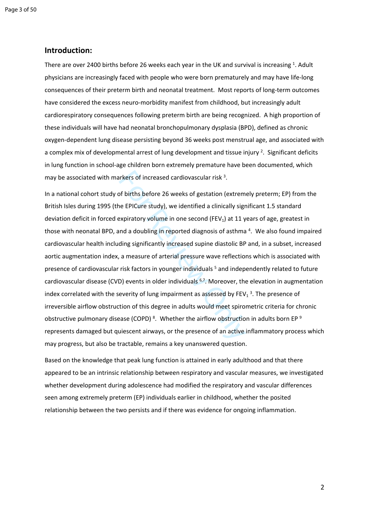## **Introduction:**

There are over 2400 births before 26 weeks each year in the UK and survival is increasing <sup>1</sup>. Adult physicians are increasingly faced with people who were born prematurely and may have life-long consequences of their preterm birth and neonatal treatment. Most reports of long-term outcomes have considered the excess neuro-morbidity manifest from childhood, but increasingly adult cardiorespiratory consequences following preterm birth are being recognized. A high proportion of these individuals will have had neonatal bronchopulmonary dysplasia (BPD), defined as chronic oxygen-dependent lung disease persisting beyond 36 weeks post menstrual age, and associated with a complex mix of developmental arrest of lung development and tissue injury <sup>2</sup>. Significant deficits in lung function in school-age children born extremely premature have been documented, which may be associated with markers of increased cardiovascular risk <sup>3</sup>.

rkers of increased cardiovascular risk<sup>3</sup>.<br>
Sof births before 26 weeks of gestation (extrement e EPICure study), we identified a clinically signexpiratory volume in one second (FEV<sub>1</sub>) at 11 y and a doubling in reported di In a national cohort study of births before 26 weeks of gestation (extremely preterm; EP) from the British Isles during 1995 (the EPICure study), we identified a clinically significant 1.5 standard deviation deficit in forced expiratory volume in one second (FEV<sub>1</sub>) at 11 years of age, greatest in those with neonatal BPD, and a doubling in reported diagnosis of asthma <sup>4</sup>. We also found impaired cardiovascular health including significantly increased supine diastolic BP and, in a subset, increased aortic augmentation index, a measure of arterial pressure wave reflections which is associated with presence of cardiovascular risk factors in younger individuals 5 and independently related to future cardiovascular disease (CVD) events in older individuals <sup>6,7</sup>. Moreover, the elevation in augmentation index correlated with the severity of lung impairment as assessed by  $FEV<sub>1</sub>$ <sup>3</sup>. The presence of irreversible airflow obstruction of this degree in adults would meet spirometric criteria for chronic obstructive pulmonary disease (COPD)<sup>8</sup>. Whether the airflow obstruction in adults born EP<sup>9</sup> represents damaged but quiescent airways, or the presence of an active inflammatory process which may progress, but also be tractable, remains a key unanswered question.

Based on the knowledge that peak lung function is attained in early adulthood and that there appeared to be an intrinsic relationship between respiratory and vascular measures, we investigated whether development during adolescence had modified the respiratory and vascular differences seen among extremely preterm (EP) individuals earlier in childhood, whether the posited relationship between the two persists and if there was evidence for ongoing inflammation.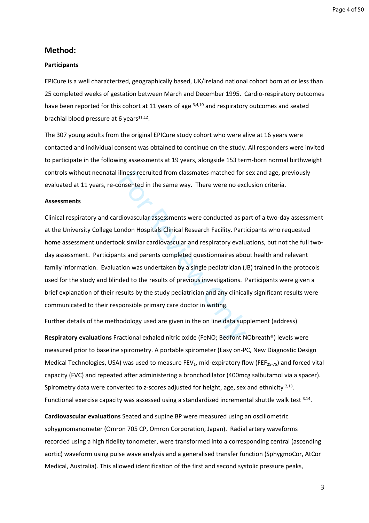# **Method:**

### **Participants**

EPICure is a well characterized, geographically based, UK/Ireland national cohort born at or less than 25 completed weeks of gestation between March and December 1995. Cardio-respiratory outcomes have been reported for this cohort at 11 years of age 3,4,10 and respiratory outcomes and seated brachial blood pressure at 6 years<sup>11,12</sup>.

The 307 young adults from the original EPICure study cohort who were alive at 16 years were contacted and individual consent was obtained to continue on the study. All responders were invited to participate in the following assessments at 19 years, alongside 153 term-born normal birthweight controls without neonatal illness recruited from classmates matched for sex and age, previously evaluated at 11 years, re-consented in the same way. There were no exclusion criteria.

#### **Assessments**

illness recruited from classmates matched for :<br>onsented in the same way. There were no exc<br>diovascular assessments were conducted as pa<br>ondon Hospitals Clinical Research Facility. Parti<br>ok similar cardiovascular and respi Clinical respiratory and cardiovascular assessments were conducted as part of a two-day assessment at the University College London Hospitals Clinical Research Facility. Participants who requested home assessment undertook similar cardiovascular and respiratory evaluations, but not the full twoday assessment. Participants and parents completed questionnaires about health and relevant family information. Evaluation was undertaken by a single pediatrician (JB) trained in the protocols used for the study and blinded to the results of previous investigations. Participants were given a brief explanation of their results by the study pediatrician and any clinically significant results were communicated to their responsible primary care doctor in writing.

Further details of the methodology used are given in the on line data supplement (address)

**Respiratory evaluations** Fractional exhaled nitric oxide (FeNO; Bedfont NObreath®) levels were measured prior to baseline spirometry. A portable spirometer (Easy on-PC, New Diagnostic Design Medical Technologies, USA) was used to measure FEV<sub>1</sub>, mid-expiratory flow (FEF<sub>25-75</sub>) and forced vital capacity (FVC) and repeated after administering a bronchodilator (400mcg salbutamol via a spacer). Spirometry data were converted to z-scores adjusted for height, age, sex and ethnicity  $2,13$ . Functional exercise capacity was assessed using a standardized incremental shuttle walk test 3,14.

**Cardiovascular evaluations** Seated and supine BP were measured using an oscillometric sphygmomanometer (Omron 705 CP, Omron Corporation, Japan). Radial artery waveforms recorded using a high fidelity tonometer, were transformed into a corresponding central (ascending aortic) waveform using pulse wave analysis and a generalised transfer function (SphygmoCor, AtCor Medical, Australia). This allowed identification of the first and second systolic pressure peaks,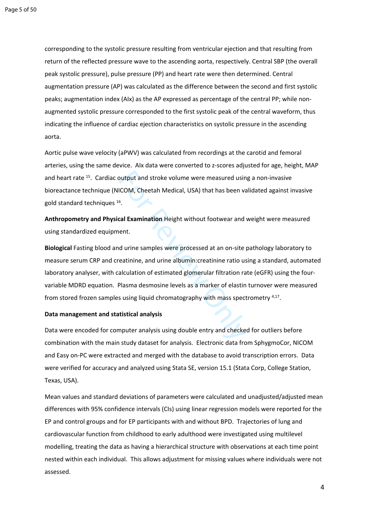corresponding to the systolic pressure resulting from ventricular ejection and that resulting from return of the reflected pressure wave to the ascending aorta, respectively. Central SBP (the overall peak systolic pressure), pulse pressure (PP) and heart rate were then determined. Central augmentation pressure (AP) was calculated as the difference between the second and first systolic peaks; augmentation index (AIx) as the AP expressed as percentage of the central PP; while nonaugmented systolic pressure corresponded to the first systolic peak of the central waveform, thus indicating the influence of cardiac ejection characteristics on systolic pressure in the ascending aorta.

Aortic pulse wave velocity (aPWV) was calculated from recordings at the carotid and femoral arteries, using the same device. AIx data were converted to z-scores adjusted for age, height, MAP and heart rate <sup>15</sup>. Cardiac output and stroke volume were measured using a non-invasive bioreactance technique (NICOM, Cheetah Medical, USA) that has been validated against invasive gold standard techniques <sup>16</sup>.

**Anthropometry and Physical Examination** Height without footwear and weight were measured using standardized equipment.

butput and stroke volume were measured usin<br>ICOM, Cheetah Medical, USA) that has been va<br>6.<br>The Review of Medical, USA) that has been va<br>6.<br>Cal Examination Height without footwear and<br>ent.<br>d urine samples were processed at **Biological** Fasting blood and urine samples were processed at an on-site pathology laboratory to measure serum CRP and creatinine, and urine albumin:creatinine ratio using a standard, automated laboratory analyser, with calculation of estimated glomerular filtration rate (eGFR) using the fourvariable MDRD equation. Plasma desmosine levels as a marker of elastin turnover were measured from stored frozen samples using liquid chromatography with mass spectrometry <sup>4,17</sup>.

#### **Data management and statistical analysis**

Data were encoded for computer analysis using double entry and checked for outliers before combination with the main study dataset for analysis. Electronic data from SphygmoCor, NICOM and Easy on-PC were extracted and merged with the database to avoid transcription errors. Data were verified for accuracy and analyzed using Stata SE, version 15.1 (Stata Corp, College Station, Texas, USA).

Mean values and standard deviations of parameters were calculated and unadjusted/adjusted mean differences with 95% confidence intervals (CIs) using linear regression models were reported for the EP and control groups and for EP participants with and without BPD. Trajectories of lung and cardiovascular function from childhood to early adulthood were investigated using multilevel modelling, treating the data as having a hierarchical structure with observations at each time point nested within each individual. This allows adjustment for missing values where individuals were not assessed.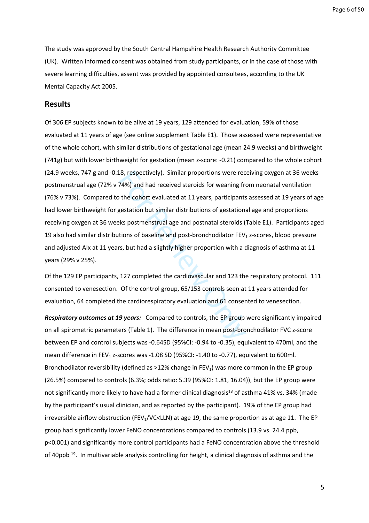Page 6 of 50

The study was approved by the South Central Hampshire Health Research Authority Committee (UK). Written informed consent was obtained from study participants, or in the case of those with severe learning difficulties, assent was provided by appointed consultees, according to the UK Mental Capacity Act 2005.

## **Results**

18, respectively). Similar proportions were rec<br>
74%) and had received steroids for weaning fre<br>
16. The cohort evaluated at 11 years, participants<br>
18. Expections of gestations<br>
18. Expections of baseline and post-bronch Of 306 EP subjects known to be alive at 19 years, 129 attended for evaluation, 59% of those evaluated at 11 years of age (see online supplement Table E1). Those assessed were representative of the whole cohort, with similar distributions of gestational age (mean 24.9 weeks) and birthweight (741g) but with lower birthweight for gestation (mean z-score: -0.21) compared to the whole cohort (24.9 weeks, 747 g and -0.18, respectively). Similar proportions were receiving oxygen at 36 weeks postmenstrual age (72% v 74%) and had received steroids for weaning from neonatal ventilation (76% v 73%). Compared to the cohort evaluated at 11 years, participants assessed at 19 years of age had lower birthweight for gestation but similar distributions of gestational age and proportions receiving oxygen at 36 weeks postmenstrual age and postnatal steroids (Table E1). Participants aged 19 also had similar distributions of baseline and post-bronchodilator  $FEV<sub>1</sub>$  z-scores, blood pressure and adjusted AIx at 11 years, but had a slightly higher proportion with a diagnosis of asthma at 11 years (29% v 25%).

Of the 129 EP participants, 127 completed the cardiovascular and 123 the respiratory protocol. 111 consented to venesection. Of the control group, 65/153 controls seen at 11 years attended for evaluation, 64 completed the cardiorespiratory evaluation and 61 consented to venesection.

*Respiratory outcomes at 19 years:* Compared to controls, the EP group were significantly impaired on all spirometric parameters (Table 1). The difference in mean post-bronchodilator FVC z-score between EP and control subjects was -0.64SD (95%CI: -0.94 to -0.35), equivalent to 470ml, and the mean difference in FEV<sub>1</sub> z-scores was -1.08 SD (95%CI: -1.40 to -0.77), equivalent to 600ml. Bronchodilator reversibility (defined as >12% change in FEV<sub>1</sub>) was more common in the EP group (26.5%) compared to controls (6.3%; odds ratio: 5.39 (95%CI: 1.81, 16.04)), but the EP group were not significantly more likely to have had a former clinical diagnosis<sup>18</sup> of asthma 41% vs. 34% (made by the participant's usual clinician, and as reported by the participant). 19% of the EP group had irreversible airflow obstruction (FEV<sub>1</sub>/VC<LLN) at age 19, the same proportion as at age 11. The EP group had significantly lower FeNO concentrations compared to controls (13.9 vs. 24.4 ppb, p<0.001) and significantly more control participants had a FeNO concentration above the threshold of 40ppb <sup>19</sup>. In multivariable analysis controlling for height, a clinical diagnosis of asthma and the

5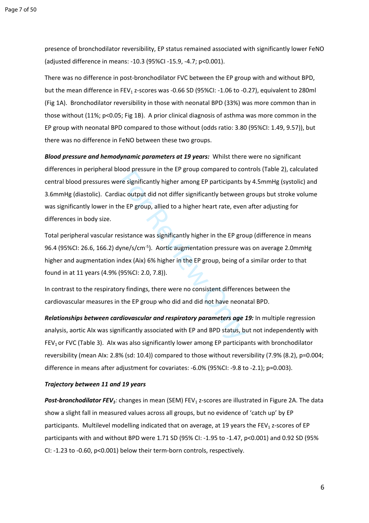presence of bronchodilator reversibility, EP status remained associated with significantly lower FeNO (adjusted difference in means: -10.3 (95%CI -15.9, -4.7; p<0.001).

There was no difference in post-bronchodilator FVC between the EP group with and without BPD, but the mean difference in FEV<sub>1</sub> z-scores was -0.66 SD (95%CI: -1.06 to -0.27), equivalent to 280ml (Fig 1A). Bronchodilator reversibility in those with neonatal BPD (33%) was more common than in those without (11%; p<0.05; Fig 1B). A prior clinical diagnosis of asthma was more common in the EP group with neonatal BPD compared to those without (odds ratio: 3.80 (95%CI: 1.49, 9.57)), but there was no difference in FeNO between these two groups.

bod pressure in the Er group compared to cor-<br>The significantly higher among EP participants bac output did not differ significantly between and<br>the EP group, allied to a higher heart rate, even<br>sistance was significantly *Blood pressure and hemodynamic parameters at 19 years:* Whilst there were no significant differences in peripheral blood pressure in the EP group compared to controls (Table 2), calculated central blood pressures were significantly higher among EP participants by 4.5mmHg (systolic) and 3.6mmHg (diastolic). Cardiac output did not differ significantly between groups but stroke volume was significantly lower in the EP group, allied to a higher heart rate, even after adjusting for differences in body size.

Total peripheral vascular resistance was significantly higher in the EP group (difference in means 96.4 (95%CI: 26.6, 166.2) dyne/s/cm<sup>-5</sup>). Aortic augmentation pressure was on average 2.0mmHg higher and augmentation index (Aix) 6% higher in the EP group, being of a similar order to that found in at 11 years (4.9% (95%CI: 2.0, 7.8)).

In contrast to the respiratory findings, there were no consistent differences between the cardiovascular measures in the EP group who did and did not have neonatal BPD.

*Relationships between cardiovascular and respiratory parameters age 19:* In multiple regression analysis, aortic AIx was significantly associated with EP and BPD status, but not independently with FEV<sub>1</sub> or FVC (Table 3). AIx was also significantly lower among EP participants with bronchodilator reversibility (mean AIx: 2.8% (sd: 10.4)) compared to those without reversibility (7.9% (8.2), p=0.004; difference in means after adjustment for covariates: -6.0% (95%CI: -9.8 to -2.1); p=0.003).

### *Trajectory between 11 and 19 years*

Post-bronchodilator FEV<sub>1</sub>: changes in mean (SEM) FEV<sub>1</sub> z-scores are illustrated in Figure 2A. The data show a slight fall in measured values across all groups, but no evidence of 'catch up' by EP participants. Multilevel modelling indicated that on average, at 19 years the FEV<sub>1</sub> z-scores of EP participants with and without BPD were 1.71 SD (95% CI: -1.95 to -1.47, p<0.001) and 0.92 SD (95% CI: -1.23 to -0.60, p<0.001) below their term-born controls, respectively.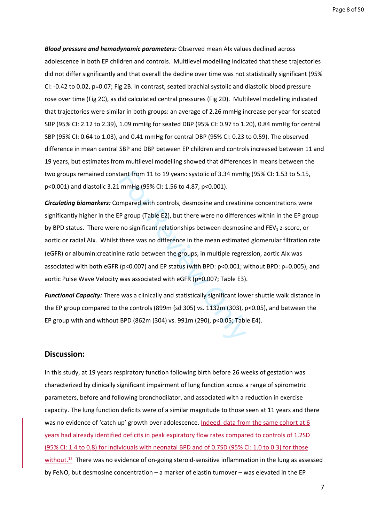Page 8 of 50

*Blood pressure and hemodynamic parameters:* Observed mean AIx values declined across adolescence in both EP children and controls. Multilevel modelling indicated that these trajectories did not differ significantly and that overall the decline over time was not statistically significant (95% CI: -0.42 to 0.02, p=0.07; Fig 2B. In contrast, seated brachial systolic and diastolic blood pressure rose over time (Fig 2C), as did calculated central pressures (Fig 2D). Multilevel modelling indicated that trajectories were similar in both groups: an average of 2.26 mmHg increase per year for seated SBP (95% CI: 2.12 to 2.39), 1.09 mmHg for seated DBP (95% CI: 0.97 to 1.20), 0.84 mmHg for central SBP (95% CI: 0.64 to 1.03), and 0.41 mmHg for central DBP (95% CI: 0.23 to 0.59). The observed difference in mean central SBP and DBP between EP children and controls increased between 11 and 19 years, but estimates from multilevel modelling showed that differences in means between the two groups remained constant from 11 to 19 years: systolic of 3.34 mmHg (95% CI: 1.53 to 5.15, p<0.001) and diastolic 3.21 mmHg (95% CI: 1.56 to 4.87, p<0.001).

tant from 11 to 19 years: systolic of 3.34 mmH<br>mmHg (95% CI: 1.56 to 4.87, p<0.001).<br>mpared with controls, desmosine and creatini<br>P group (Table E2), but there were no differen<br>no significant relationships between desmosi *Circulating biomarkers:* Compared with controls, desmosine and creatinine concentrations were significantly higher in the EP group (Table E2), but there were no differences within in the EP group by BPD status. There were no significant relationships between desmosine and FEV<sub>1</sub> z-score, or aortic or radial AIx. Whilst there was no difference in the mean estimated glomerular filtration rate (eGFR) or albumin:creatinine ratio between the groups, in multiple regression, aortic AIx was associated with both eGFR (p<0.007) and EP status (with BPD: p<0.001; without BPD: p=0.005), and aortic Pulse Wave Velocity was associated with eGFR (p=0.007; Table E3).

*Functional Capacity:* There was a clinically and statistically significant lower shuttle walk distance in the EP group compared to the controls (899m (sd 305) vs. 1132m (303), p<0.05), and between the EP group with and without BPD (862m (304) vs. 991m (290), p<0.05; Table E4).

# **Discussion:**

In this study, at 19 years respiratory function following birth before 26 weeks of gestation was characterized by clinically significant impairment of lung function across a range of spirometric parameters, before and following bronchodilator, and associated with a reduction in exercise capacity. The lung function deficits were of a similar magnitude to those seen at 11 years and there was no evidence of 'catch up' growth over adolescence. Indeed, data from the same cohort at 6 years had already identified deficits in peak expiratory flow rates compared to controls of 1.2SD (95% CI: 1.4 to 0.8) for individuals with neonatal BPD and of 0.7SD (95% CI: 1.0 to 0.3) for those without.<sup>12</sup> There was no evidence of on-going steroid-sensitive inflammation in the lung as assessed by FeNO, but desmosine concentration – a marker of elastin turnover – was elevated in the EP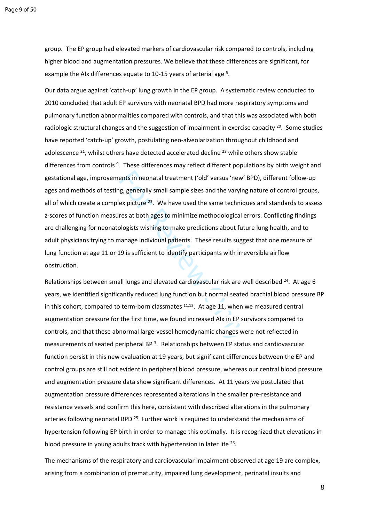group. The EP group had elevated markers of cardiovascular risk compared to controls, including higher blood and augmentation pressures. We believe that these differences are significant, for example the AIx differences equate to 10-15 years of arterial age <sup>5</sup>.

ents in neonatal treatment ('old' versus 'new'<br>g, generally small sample sizes and the varying<br>ex picture <sup>23</sup>. We have used the same techniq<br>res at both ages to minimize methodological e<br>plogists wishing to make predictio Our data argue against 'catch-up' lung growth in the EP group. A systematic review conducted to 2010 concluded that adult EP survivors with neonatal BPD had more respiratory symptoms and pulmonary function abnormalities compared with controls, and that this was associated with both radiologic structural changes and the suggestion of impairment in exercise capacity  $^{20}$ . Some studies have reported 'catch-up' growth, postulating neo-alveolarization throughout childhood and adolescence <sup>21</sup>, whilst others have detected accelerated decline <sup>22</sup> while others show stable differences from controls<sup>9</sup>. These differences may reflect different populations by birth weight and gestational age, improvements in neonatal treatment ('old' versus 'new' BPD), different follow-up ages and methods of testing, generally small sample sizes and the varying nature of control groups, all of which create a complex picture  $^{23}$ . We have used the same techniques and standards to assess z-scores of function measures at both ages to minimize methodological errors. Conflicting findings are challenging for neonatologists wishing to make predictions about future lung health, and to adult physicians trying to manage individual patients. These results suggest that one measure of lung function at age 11 or 19 is sufficient to identify participants with irreversible airflow obstruction.

Relationships between small lungs and elevated cardiovascular risk are well described <sup>24</sup>. At age 6 years, we identified significantly reduced lung function but normal seated brachial blood pressure BP in this cohort, compared to term-born classmates <sup>11,12</sup>. At age 11, when we measured central augmentation pressure for the first time, we found increased AIx in EP survivors compared to controls, and that these abnormal large-vessel hemodynamic changes were not reflected in measurements of seated peripheral BP<sup>3</sup>. Relationships between EP status and cardiovascular function persist in this new evaluation at 19 years, but significant differences between the EP and control groups are still not evident in peripheral blood pressure, whereas our central blood pressure and augmentation pressure data show significant differences. At 11 years we postulated that augmentation pressure differences represented alterations in the smaller pre-resistance and resistance vessels and confirm this here, consistent with described alterations in the pulmonary arteries following neonatal BPD <sup>25</sup>. Further work is required to understand the mechanisms of hypertension following EP birth in order to manage this optimally. It is recognized that elevations in blood pressure in young adults track with hypertension in later life <sup>26</sup>.

The mechanisms of the respiratory and cardiovascular impairment observed at age 19 are complex, arising from a combination of prematurity, impaired lung development, perinatal insults and

8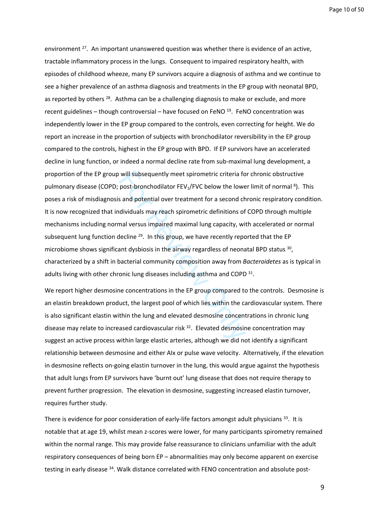Page 10 of 50

will subsequently meet spirometric criteria fo<br>post-bronchodilator  $FEV_1/FVC$  below the lowe<br>s and potential over treatment for a second ch<br>dividuals may reach spirometric definitions of<br>nal versus impaired maximal lung cap environment <sup>27</sup>. An important unanswered question was whether there is evidence of an active, tractable inflammatory process in the lungs. Consequent to impaired respiratory health, with episodes of childhood wheeze, many EP survivors acquire a diagnosis of asthma and we continue to see a higher prevalence of an asthma diagnosis and treatments in the EP group with neonatal BPD, as reported by others <sup>28</sup>. Asthma can be a challenging diagnosis to make or exclude, and more recent guidelines – though controversial – have focused on FeNO  $^{19}$ . FeNO concentration was independently lower in the EP group compared to the controls, even correcting for height. We do report an increase in the proportion of subjects with bronchodilator reversibility in the EP group compared to the controls, highest in the EP group with BPD. If EP survivors have an accelerated decline in lung function, or indeed a normal decline rate from sub-maximal lung development, a proportion of the EP group will subsequently meet spirometric criteria for chronic obstructive pulmonary disease (COPD; post-bronchodilator FEV<sub>1</sub>/FVC below the lower limit of normal <sup>8</sup>). This poses a risk of misdiagnosis and potential over treatment for a second chronic respiratory condition. It is now recognized that individuals may reach spirometric definitions of COPD through multiple mechanisms including normal versus impaired maximal lung capacity, with accelerated or normal subsequent lung function decline  $^{29}$ . In this group, we have recently reported that the EP microbiome shows significant dysbiosis in the airway regardless of neonatal BPD status <sup>30</sup>, characterized by a shift in bacterial community composition away from *Bacteroidetes* as is typical in adults living with other chronic lung diseases including asthma and COPD<sup>31</sup>.

We report higher desmosine concentrations in the EP group compared to the controls. Desmosine is an elastin breakdown product, the largest pool of which lies within the cardiovascular system. There is also significant elastin within the lung and elevated desmosine concentrations in chronic lung disease may relate to increased cardiovascular risk  $32$ . Elevated desmosine concentration may suggest an active process within large elastic arteries, although we did not identify a significant relationship between desmosine and either AIx or pulse wave velocity. Alternatively, if the elevation in desmosine reflects on-going elastin turnover in the lung, this would argue against the hypothesis that adult lungs from EP survivors have 'burnt out' lung disease that does not require therapy to prevent further progression. The elevation in desmosine, suggesting increased elastin turnover, requires further study.

There is evidence for poor consideration of early-life factors amongst adult physicians 33. It is notable that at age 19, whilst mean z-scores were lower, for many participants spirometry remained within the normal range. This may provide false reassurance to clinicians unfamiliar with the adult respiratory consequences of being born EP – abnormalities may only become apparent on exercise testing in early disease 34. Walk distance correlated with FENO concentration and absolute post-

9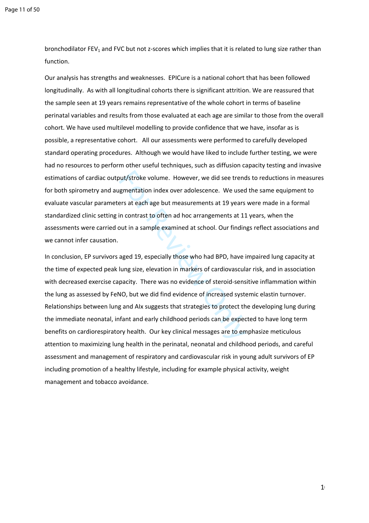bronchodilator FEV<sub>1</sub> and FVC but not z-scores which implies that it is related to lung size rather than function.

Our analysis has strengths and weaknesses. EPICure is a national cohort that has been followed longitudinally. As with all longitudinal cohorts there is significant attrition. We are reassured that the sample seen at 19 years remains representative of the whole cohort in terms of baseline perinatal variables and results from those evaluated at each age are similar to those from the overall cohort. We have used multilevel modelling to provide confidence that we have, insofar as is possible, a representative cohort. All our assessments were performed to carefully developed standard operating procedures. Although we would have liked to include further testing, we were had no resources to perform other useful techniques, such as diffusion capacity testing and invasive estimations of cardiac output/stroke volume. However, we did see trends to reductions in measures for both spirometry and augmentation index over adolescence. We used the same equipment to evaluate vascular parameters at each age but measurements at 19 years were made in a formal standardized clinic setting in contrast to often ad hoc arrangements at 11 years, when the assessments were carried out in a sample examined at school. Our findings reflect associations and we cannot infer causation.

out/stroke volume. However, we did see trend<br>gmentation index over adolescence. We used<br>ers at each age but measurements at 19 years<br>in contrast to often ad hoc arrangements at 11<br>out in a sample examined at school. Our fi In conclusion, EP survivors aged 19, especially those who had BPD, have impaired lung capacity at the time of expected peak lung size, elevation in markers of cardiovascular risk, and in association with decreased exercise capacity. There was no evidence of steroid-sensitive inflammation within the lung as assessed by FeNO, but we did find evidence of increased systemic elastin turnover. Relationships between lung and AIx suggests that strategies to protect the developing lung during the immediate neonatal, infant and early childhood periods can be expected to have long term benefits on cardiorespiratory health. Our key clinical messages are to emphasize meticulous attention to maximizing lung health in the perinatal, neonatal and childhood periods, and careful assessment and management of respiratory and cardiovascular risk in young adult survivors of EP including promotion of a healthy lifestyle, including for example physical activity, weight management and tobacco avoidance.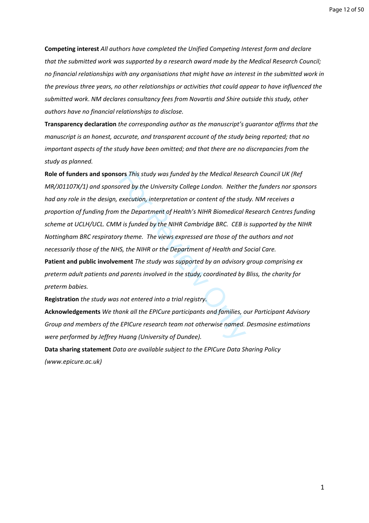**Competing interest** *All authors have completed the Unified Competing Interest form and declare that the submitted work was supported by a research award made by the Medical Research Council; no financial relationships with any organisations that might have an interest in the submitted work in the previous three years, no other relationships or activities that could appear to have influenced the submitted work*. *NM declares consultancy fees from Novartis and Shire outside this study, other authors have no financial relationships to disclose.*

**Transparency declaration** *the corresponding author as the manuscript's guarantor affirms that the manuscript is an honest, accurate, and transparent account of the study being reported; that no important aspects of the study have been omitted; and that there are no discrepancies from the study as planned.*

ors This study was funded by the Medical Reserved by the University College London. Neither<br>execution, interpretation or content of the studence execution, interpretation or content of the studence the<br>execution, interpret **Role of funders and sponsors** *This study was funded by the Medical Research Council UK (Ref MR/J01107X/1) and sponsored by the University College London. Neither the funders nor sponsors had any role in the design, execution, interpretation or content of the study. NM receives a proportion of funding from the Department of Health's NIHR Biomedical Research Centres funding scheme at UCLH/UCL. CMM is funded by the NIHR Cambridge BRC. CEB is supported by the NIHR Nottingham BRC respiratory theme. The views expressed are those of the authors and not necessarily those of the NHS, the NIHR or the Department of Health and Social Care.*

**Patient and public involvement** *The study was supported by an advisory group comprising ex preterm adult patients and parents involved in the study, coordinated by Bliss, the charity for preterm babies.* 

**Registration** *the study was not entered into a trial registry.*

**Acknowledgements** *We thank all the EPICure participants and families, our Participant Advisory Group and members of the EPICure research team not otherwise named. Desmosine estimations were performed by Jeffrey Huang (University of Dundee).*

**Data sharing statement** *Data are available subject to the EPICure Data Sharing Policy (www.epicure.ac.uk)*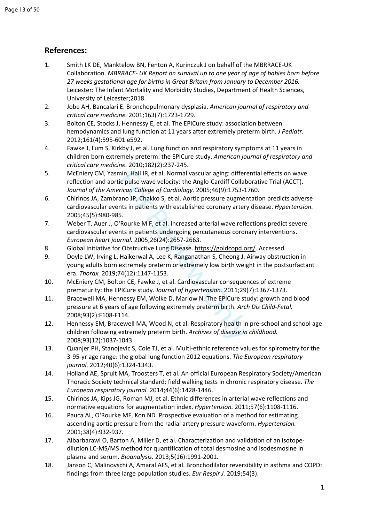# **References:**

- 1. Smith LK DE, Manktelow BN, Fenton A, Kurinczuk J on behalf of the MBRRACE-UK Collaboration. *MBRRACE- UK Report on survival up to one year of age of babies born before 27 weeks gestational age for births in Great Britain from January to December 2016.* Leicester: The Infant Mortality and Morbidity Studies, Department of Health Sciences, University of Leicester;2018.
- 2. Jobe AH, Bancalari E. Bronchopulmonary dysplasia. *American journal of respiratory and critical care medicine.* 2001;163(7):1723-1729.
- 3. Bolton CE, Stocks J, Hennessy E, et al. The EPICure study: association between hemodynamics and lung function at 11 years after extremely preterm birth. *J Pediatr.*  2012;161(4):595-601 e592.
- 4. Fawke J, Lum S, Kirkby J, et al. Lung function and respiratory symptoms at 11 years in children born extremely preterm: the EPICure study. *American journal of respiratory and critical care medicine.* 2010;182(2):237-245.
- 5. McEniery CM, Yasmin, Hall IR, et al. Normal vascular aging: differential effects on wave reflection and aortic pulse wave velocity: the Anglo-Cardiff Collaborative Trial (ACCT). *Journal of the American College of Cardiology.* 2005;46(9):1753-1760.
- 6. Chirinos JA, Zambrano JP, Chakko S, et al. Aortic pressure augmentation predicts adverse cardiovascular events in patients with established coronary artery disease. *Hypertension.*  2005;45(5):980-985.
- 7. Weber T, Auer J, O'Rourke M F, et al. Increased arterial wave reflections predict severe cardiovascular events in patients undergoing percutaneous coronary interventions. *European heart journal.* 2005;26(24):2657-2663.
- 8. Global Initiative for Obstructive Lung Disease. https://goldcopd.org/. Accessed.
- nin, Hall IR, et al. Normal vascular aging: differ<br>ic pulse wave velocity: the Anglo-Cardiff Collat<br>*rican College of Cardiology.* 2005;46(9):1753-1<br>ano JP, Chakko S, et al. Aortic pressure augments<br>in patients with establ 9. Doyle LW, Irving L, Haikerwal A, Lee K, Ranganathan S, Cheong J. Airway obstruction in young adults born extremely preterm or extremely low birth weight in the postsurfactant era. *Thorax.* 2019;74(12):1147-1153.
- 10. McEniery CM, Bolton CE, Fawke J, et al. Cardiovascular consequences of extreme prematurity: the EPICure study. *Journal of hypertension.* 2011;29(7):1367-1373.
- 11. Bracewell MA, Hennessy EM, Wolke D, Marlow N. The EPICure study: growth and blood pressure at 6 years of age following extremely preterm birth. *Arch Dis Child-Fetal.*  2008;93(2):F108-F114.
- 12. Hennessy EM, Bracewell MA, Wood N, et al. Respiratory health in pre-school and school age children following extremely preterm birth. *Archives of disease in childhood.*  2008;93(12):1037-1043.
- 13. Quanjer PH, Stanojevic S, Cole TJ, et al. Multi-ethnic reference values for spirometry for the 3-95-yr age range: the global lung function 2012 equations. *The European respiratory journal.* 2012;40(6):1324-1343.
- 14. Holland AE, Spruit MA, Troosters T, et al. An official European Respiratory Society/American Thoracic Society technical standard: field walking tests in chronic respiratory disease. *The European respiratory journal.* 2014;44(6):1428-1446.
- 15. Chirinos JA, Kips JG, Roman MJ, et al. Ethnic differences in arterial wave reflections and normative equations for augmentation index. *Hypertension.* 2011;57(6):1108-1116.
- 16. Pauca AL, O'Rourke MF, Kon ND. Prospective evaluation of a method for estimating ascending aortic pressure from the radial artery pressure waveform. *Hypertension.*  2001;38(4):932-937.
- 17. Albarbarawi O, Barton A, Miller D, et al. Characterization and validation of an isotopedilution LC-MS/MS method for quantification of total desmosine and isodesmosine in plasma and serum. *Bioanalysis.* 2013;5(16):1991-2001.
- 18. Janson C, Malinovschi A, Amaral AFS, et al. Bronchodilator reversibility in asthma and COPD: findings from three large population studies. *Eur Respir J.* 2019;54(3).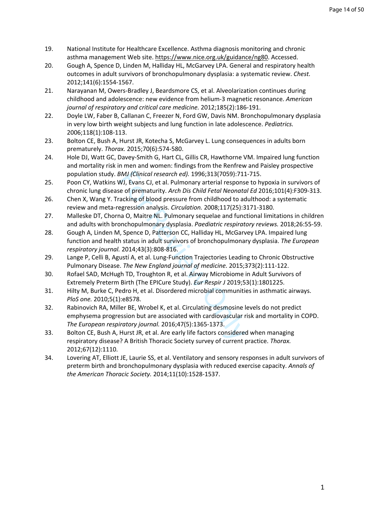- 19. National Institute for Healthcare Excellence. Asthma diagnosis monitoring and chronic asthma management Web site. [https://www.nice.org.uk/guidance/ng80.](https://www.nice.org.uk/guidance/ng80) Accessed.
- 20. Gough A, Spence D, Linden M, Halliday HL, McGarvey LPA. General and respiratory health outcomes in adult survivors of bronchopulmonary dysplasia: a systematic review. *Chest.*  2012;141(6):1554-1567.
- 21. Narayanan M, Owers-Bradley J, Beardsmore CS, et al. Alveolarization continues during childhood and adolescence: new evidence from helium-3 magnetic resonance. *American journal of respiratory and critical care medicine.* 2012;185(2):186-191.
- 22. Doyle LW, Faber B, Callanan C, Freezer N, Ford GW, Davis NM. Bronchopulmonary dysplasia in very low birth weight subjects and lung function in late adolescence. *Pediatrics.*  2006;118(1):108-113.
- 23. Bolton CE, Bush A, Hurst JR, Kotecha S, McGarvey L. Lung consequences in adults born prematurely. *Thorax.* 2015;70(6):574-580.
- 24. Hole DJ, Watt GC, Davey-Smith G, Hart CL, Gillis CR, Hawthorne VM. Impaired lung function and mortality risk in men and women: findings from the Renfrew and Paisley prospective population study. *BMJ (Clinical research ed).* 1996;313(7059):711-715.
- 25. Poon CY, Watkins WJ, Evans CJ, et al. Pulmonary arterial response to hypoxia in survivors of chronic lung disease of prematurity. *Arch Dis Child Fetal Neonatal Ed* 2016;101(4):F309-313.
- 26. Chen X, Wang Y. Tracking of blood pressure from childhood to adulthood: a systematic review and meta-regression analysis. *Circulation.* 2008;117(25):3171-3180.
- 27. Malleske DT, Chorna O, Maitre NL. Pulmonary sequelae and functional limitations in children and adults with bronchopulmonary dysplasia. *Paediatric respiratory reviews.* 2018;26:55-59.
- 28. Gough A, Linden M, Spence D, Patterson CC, Halliday HL, McGarvey LPA. Impaired lung function and health status in adult survivors of bronchopulmonary dysplasia. *The European respiratory journal.* 2014;43(3):808-816.
- 29. Lange P, Celli B, Agustí A, et al. Lung-Function Trajectories Leading to Chronic Obstructive Pulmonary Disease. *The New England journal of medicine.* 2015;373(2):111-122.
- 30. Rofael SAD, McHugh TD, Troughton R, et al. Airway Microbiome in Adult Survivors of Extremely Preterm Birth (The EPICure Study). *Eur Respir J* 2019;53(1):1801225.
- 31. Hilty M, Burke C, Pedro H, et al. Disordered microbial communities in asthmatic airways. *PloS one.* 2010;5(1):e8578.
- 3MJ (Clinical research ed). 1996;313(7059):711<br>NJ, Evans CJ, et al. Pulmonary arterial response<br>e of prematurity. Arch Dis Child Fetal Neonata<br>acking of blood pressure from childhood to ad<br>egression analysis. *Circulation* 32. Rabinovich RA, Miller BE, Wrobel K, et al. Circulating desmosine levels do not predict emphysema progression but are associated with cardiovascular risk and mortality in COPD. *The European respiratory journal.* 2016;47(5):1365-1373.
- 33. Bolton CE, Bush A, Hurst JR, et al. Are early life factors considered when managing respiratory disease? A British Thoracic Society survey of current practice. *Thorax.*  2012;67(12):1110.
- 34. Lovering AT, Elliott JE, Laurie SS, et al. Ventilatory and sensory responses in adult survivors of preterm birth and bronchopulmonary dysplasia with reduced exercise capacity. *Annals of the American Thoracic Society.* 2014;11(10):1528-1537.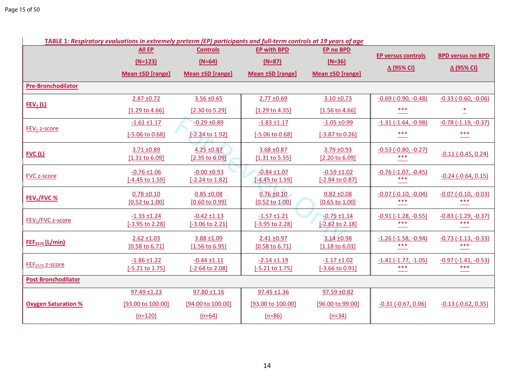|                               | <b>All EP</b>                                  | <b>Controls</b>                                | <b>EP with BPD</b>                             | <b>EP no BPD</b>                               | <b>EP versus controls</b>              | <b>BPD versus no BPD</b>               |
|-------------------------------|------------------------------------------------|------------------------------------------------|------------------------------------------------|------------------------------------------------|----------------------------------------|----------------------------------------|
|                               | $(N=123)$                                      | $(N=64)$                                       | $(N=87)$                                       | $(N=36)$                                       | $\Delta$ (95% CI)                      | $\Delta$ (95% CI)                      |
|                               | <b>Mean ±SD [range]</b>                        | <b>Mean ±SD [range]</b>                        | <b>Mean ±SD [range]</b>                        | <b>Mean ±SD [range]</b>                        |                                        |                                        |
| <b>Pre-Bronchodilator</b>     |                                                |                                                |                                                |                                                |                                        |                                        |
|                               | $2.87 \pm 0.72$                                | $3.56 \pm 0.65$                                | $2.77 \pm 0.69$                                | $3.10 \pm 0.73$                                | $-0.69$ $(-0.90, -0.48)$               | $-0.33(-0.60,-0.06)$                   |
| FEV <sub>1</sub> (L)          | $[1.29 \text{ to } 4.66]$                      | $[2.30 \text{ to } 5.29]$                      | $[1.29 \text{ to } 4.35]$                      | $[1.56 \text{ to } 4.66]$                      | $***$                                  |                                        |
|                               | $-1.61 + 1.17$                                 | $-0.29 \pm 0.89$                               | $-1.83 + 1.17$                                 | $-1.05 + 0.99$                                 | $-1.31$ $(-1.64, -0.98)$               | $-0.78(-1.19,-0.37)$                   |
| $FEV1$ z-score                | $[-5.06 \text{ to } 0.68]$                     | $[-2.24 \text{ to } 1.92]$                     | $[-5.06 \text{ to } 0.68]$                     | $[-3.87 \text{ to } 0.26]$                     | $***$                                  | $***$                                  |
| <b>FVC(L)</b>                 | $3.71 \pm 0.89$                                | $4.25 \pm 0.87$                                | $3.68 \pm 0.87$                                | $3.79 \pm 0.93$                                | $-0.53$ $(-0.80, -0.27)$               | $-0.11$ $(-0.45, 0.24)$                |
|                               | $[1.31 \text{ to } 6.09]$                      | $[2.35 \text{ to } 6.09]$                      | $[1.31$ to 5.55]                               | $[2.20 \text{ to } 6.09]$                      | ***                                    |                                        |
| FVC z-score                   | $-0.76 \pm 1.06$<br>$[-4.45 \text{ to } 1.59]$ | $-0.00 \pm 0.93$<br>$[-2.24 \text{ to } 1.82]$ | $-0.84 \pm 1.07$<br>$[-4.45 \text{ to } 1.59]$ | $-0.59 \pm 1.02$<br>$[-2.84 \text{ to } 0.87]$ | $-0.76$ $(-1.07, -0.45)$<br>***        | $-0.24$ $(-0.64, 0.15)$                |
| FEV <sub>1</sub> /FVC %       | $0.78 \pm 0.10$<br>$[0.52 \text{ to } 1.00]$   | $0.85 \pm 0.08$<br>$[0.60 \text{ to } 0.99]$   | $0.76 \pm 0.10$<br>$[0.52 \text{ to } 1.00]$   | $0.82 \pm 0.08$<br>$[0.65 \text{ to } 1.00]$   | $-0.07$ $(-0.10, -0.04)$<br>***        | $-0.07$ $(-0.10, -0.03)$<br>***        |
| FEV <sub>1</sub> /FVC z-score | $-1.33 \pm 1.24$<br>$[-3.95 \text{ to } 2.28]$ | $-0.42 \pm 1.13$<br>$[-3.06 \text{ to } 2.21]$ | $-1.57 + 1.21$<br>$[-3.95 \text{ to } 2.28]$   | $-0.75 \pm 1.14$<br>$[-2.62 \text{ to } 2.18]$ | $-0.91$ ( $-1.28$ , $-0.55$ )<br>$***$ | $-0.83$ ( $-1.29$ , $-0.37$ )<br>$***$ |
| FEF <sub>2575</sub> (L/min)   | $2.62 \pm 1.03$<br>$[0.58 \text{ to } 6.71]$   | 3.88 ±1.09<br>$[1.56 \text{ to } 6.95]$        | $2.41 \pm 0.97$<br>$[0.58 \text{ to } 6.71]$   | $3.14 \pm 0.98$<br>$[1.18 \text{ to } 6.01]$   | $-1.26$ ( $-1.58$ , $-0.94$ )<br>***   | $-0.73$ $(-1.13, -0.33)$               |
| FEF <sub>2575</sub> z-score   | $-1.86 \pm 1.22$<br>$[-5.21 \text{ to } 1.75]$ | $-0.44 \pm 1.11$<br>$[-2.64 \text{ to } 2.08]$ | $-2.14 \pm 1.19$<br>$[-5.21 \text{ to } 1.75]$ | $-1.17 \pm 1.02$<br>$[-3.66 \text{ to } 0.91]$ | $-1.41$ $(-1.77, -1.05)$<br>***        | $-0.97$ $(-1.41, -0.53)$<br>***        |
| <b>Post Bronchodilator</b>    |                                                |                                                |                                                |                                                |                                        |                                        |
|                               | $97.49 \pm 1.23$                               | $97.80 \pm 1.16$                               | 97.45 ±1.36                                    | $97.59 \pm 0.82$                               |                                        |                                        |
| <b>Oxygen Saturation %</b>    | [93.00 to 100.00]                              | [94.00 to 100.00]                              | [93.00 to 100.00]                              | [96.00 to 99.00]                               | $-0.31$ $(-0.67, 0.06)$                | $-0.13$ $(-0.62, 0.35)$                |
|                               | $(n=120)$                                      | $(n=64)$                                       | $(n=86)$                                       | $(n=34)$                                       |                                        |                                        |

**TABLE 1:** *Respiratory evaluations in extremely preterm (EP) participants and full-term controls at 19 years of age*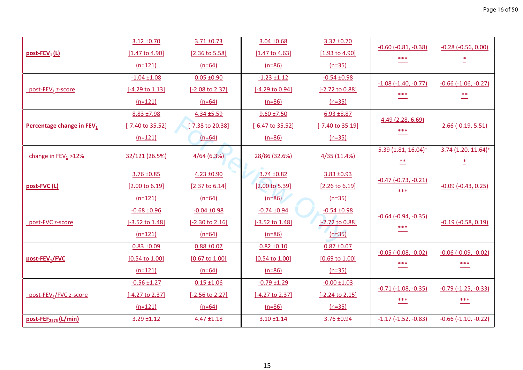|                                       | $3.12 \pm 0.70$             | $3.71 \pm 0.73$            | $3.04 \pm 0.68$             | $3.32 + 0.70$               | $-0.60$ $(-0.81, -0.38)$      | $-0.28$ $(-0.56, 0.00)$  |
|---------------------------------------|-----------------------------|----------------------------|-----------------------------|-----------------------------|-------------------------------|--------------------------|
| post-FEV <sub>1</sub> (L)             | $[1.47 \text{ to } 4.90]$   | [2.36 to 5.58]             | $[1.47 \text{ to } 4.63]$   | $[1.93 \text{ to } 4.90]$   | $***$                         |                          |
|                                       | $(n=121)$                   | $(n=64)$                   | $(n=86)$                    | $(n=35)$                    |                               |                          |
|                                       | $-1.04 \pm 1.08$            | $0.05 \pm 0.90$            | $-1.23 + 1.12$              | $-0.54 + 0.98$              | $-1.08(-1.40,-0.77)$          | $-0.66$ $(-1.06, -0.27)$ |
| post-FEV <sub>1</sub> z-score         | $[-4.29 \text{ to } 1.13]$  | $[-2.08 \text{ to } 2.37]$ | $[-4.29 \text{ to } 0.94]$  | [-2.72 to 0.88]             | ***                           | $***$                    |
|                                       | $(n=121)$                   | $(n=64)$                   | $(n=86)$                    | $(n=35)$                    |                               |                          |
|                                       | $8.83 + 7.98$               | $4.34 \pm 5.59$            | $9.60 \pm 7.50$             | $6.93 \pm 8.87$             | 4.49 (2.28, 6.69)             |                          |
| Percentage change in FEV <sub>1</sub> | $[-7.40 \text{ to } 35.52]$ | [-7.38 to 20.38]           | $[-6.47 \text{ to } 35.52]$ | $[-7.40 \text{ to } 35.19]$ | ***                           | $2.66$ (-0.19, 5.51)     |
|                                       | $(n=121)$                   | $(n=64)$                   | $(n=86)$                    | $(n=35)$                    |                               |                          |
| change in $FEV_1 > 12\%$              | 32/121 (26.5%)              | 4/64(6.3%)                 | 28/86 (32.6%)               | 4/35 (11.4%)                | $5.39(1.81, 16.04)^+$         | $3.74(1.20, 11.64)^+$    |
|                                       |                             |                            |                             |                             | $* *$                         | $\overline{a}$           |
|                                       | $3.76 \pm 0.85$             | $4.23 \pm 0.90$            | $3.74 \pm 0.82$             | $3.83 + 0.93$               | $-0.47$ $(-0.73, -0.21)$      |                          |
| post-FVC (L)                          | $[2.00 \text{ to } 6.19]$   | $[2.37 \text{ to } 6.14]$  | $[2.00 \text{ to } 5.39]$   | $[2.26 \text{ to } 6.19]$   | ***                           | $-0.09$ $(-0.43, 0.25)$  |
|                                       | $(n=121)$                   | $(n=64)$                   | $(n=86)$                    | $(n=35)$                    |                               |                          |
|                                       | $-0.68 + 0.96$              | $-0.04 \pm 0.98$           | $-0.74 \pm 0.94$            | $-0.54 + 0.98$              | $-0.64$ $(-0.94, -0.35)$      |                          |
| post-FVC z-score                      | $[-3.52 \text{ to } 1.48]$  | $[-2.30 \text{ to } 2.16]$ | $[-3.52 \text{ to } 1.48]$  | $[-2.72 \text{ to } 0.88]$  | ***                           | $-0.19(-0.58, 0.19)$     |
|                                       | $(n=121)$                   | $(n=64)$                   | $(n=86)$                    | $(n=35)$                    |                               |                          |
|                                       | $0.83 + 0.09$               | $0.88 \pm 0.07$            | $0.82 \pm 0.10$             | $0.87 + 0.07$               | $-0.05$ ( $-0.08$ , $-0.02$ ) | $-0.06$ $(-0.09, -0.02)$ |
| post-FEV <sub>1</sub> /FVC            | $[0.54 \text{ to } 1.00]$   | $[0.67 \text{ to } 1.00]$  | $[0.54 \text{ to } 1.00]$   | $[0.69 \text{ to } 1.00]$   | ***                           | $***$                    |
|                                       | $(n=121)$                   | $(n=64)$                   | $(n=86)$                    | $(n=35)$                    |                               |                          |
|                                       | $-0.56 \pm 1.27$            | $0.15 \pm 1.06$            | $-0.79 \pm 1.29$            | $-0.00 \pm 1.03$            | $-0.71$ $(-1.08, -0.35)$      | $-0.79(-1.25,-0.33)$     |
| post-FEV <sub>1</sub> /FVC z-score    | $[-4.27 \text{ to } 2.37]$  | $[-2.56 \text{ to } 2.27]$ | $[-4.27 \text{ to } 2.37]$  | $[-2.24 \text{ to } 2.15]$  | ***                           | ***                      |
|                                       | $(n=121)$                   | $(n=64)$                   | $(n=86)$                    | $(n=35)$                    |                               |                          |
| post-FEF <sub>2575</sub> (L/min)      | $3.29 \pm 1.12$             | $4.47 \pm 1.18$            | $3.10 \pm 1.14$             | $3.76 \pm 0.94$             | $-1.17(-1.52,-0.83)$          | $-0.66$ $(-1.10, -0.22)$ |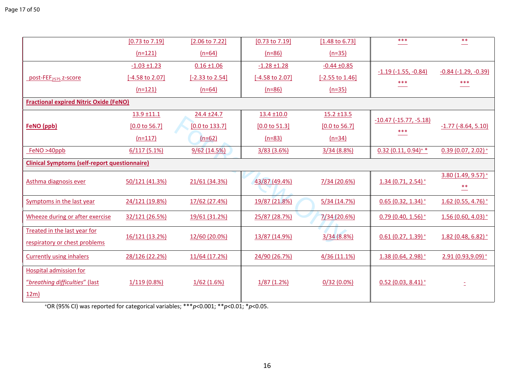|                                                                            | $[0.73 \text{ to } 7.19]$  | $[2.06 \text{ to } 7.22]$  | $[0.73 \text{ to } 7.19]$  | $[1.48 \text{ to } 6.73]$  | ***                               | $***$                                 |
|----------------------------------------------------------------------------|----------------------------|----------------------------|----------------------------|----------------------------|-----------------------------------|---------------------------------------|
|                                                                            | $(n=121)$                  | $(n=64)$                   | $(n=86)$                   | $(n=35)$                   |                                   |                                       |
|                                                                            | $-1.03 \pm 1.23$           | $0.16 \pm 1.06$            | $-1.28 \pm 1.28$           | $-0.44 \pm 0.85$           | $-1.19(-1.55, -0.84)$             | $-0.84$ ( $-1.29$ , $-0.39$ )         |
| post-FEF <sub>2575</sub> z-score                                           | $[-4.58 \text{ to } 2.07]$ | $[-2.33 \text{ to } 2.54]$ | $[-4.58 \text{ to } 2.07]$ | $[-2.55 \text{ to } 1.46]$ | ***                               | $***$                                 |
|                                                                            | $(n=121)$                  | $(n=64)$                   | $(n=86)$                   | $(n=35)$                   |                                   |                                       |
| <b>Fractional expired Nitric Oxide (FeNO)</b>                              |                            |                            |                            |                            |                                   |                                       |
|                                                                            | 13.9 ±11.1                 | $24.4 \pm 24.7$            | $13.4 \pm 10.0$            | $15.2 \pm 13.5$            | $-10.47$ $(-15.77, -5.18)$        |                                       |
| FeNO (ppb)                                                                 | $[0.0 \text{ to } 56.7]$   | $[0.0 \text{ to } 133.7]$  | $[0.0 \text{ to } 51.3]$   | $[0.0 \text{ to } 56.7]$   | ***                               | $-1.77$ $(-8.64, 5.10)$               |
|                                                                            | $(n=117)$                  | $(n=62)$                   | $(n=83)$                   | $(n=34)$                   |                                   |                                       |
| FeNO >40ppb                                                                | 6/117(5.1%)                | 9/62 (14.5%)               | $3/83$ (3.6%)              | 3/34(8.8%)                 | $0.32$ (0.11, 0.94) <sup>+*</sup> | $0.39(0.07, 2.02)$ <sup>+</sup>       |
| <b>Clinical Symptoms (self-report questionnaire)</b>                       |                            |                            |                            |                            |                                   |                                       |
| Asthma diagnosis ever                                                      | 50/121 (41.3%)             | 21/61 (34.3%)              | 43/87 (49.4%)              | 7/34 (20.6%)               | $1.34(0.71, 2.54)$ <sup>+</sup>   | $3.80(1.49, 9.57)$ <sup>+</sup><br>** |
| Symptoms in the last year                                                  | 24/121 (19.8%)             | 17/62 (27.4%)              | 19/87 (21.8%)              | 5/34 (14.7%)               | $0.65$ (0.32, 1.34) <sup>+</sup>  | $1.62$ (0.55, 4.76) <sup>+</sup>      |
| Wheeze during or after exercise                                            | 32/121 (26.5%)             | 19/61 (31.2%)              | 25/87 (28.7%)              | 7/34 (20.6%)               | $0.79(0.40, 1.56)$ <sup>+</sup>   | $1.56(0.60, 4.03)$ <sup>+</sup>       |
| Treated in the last year for<br>respiratory or chest problems              | 16/121 (13.2%)             | 12/60 (20.0%)              | 13/87 (14.9%)              | 3/34 (8.8%)                | $0.61(0.27, 1.39)$ <sup>+</sup>   | $1.82(0.48, 6.82)$ <sup>+</sup>       |
| <b>Currently using inhalers</b>                                            | 28/126 (22.2%)             | 11/64 (17.2%)              | 24/90 (26.7%)              | 4/36(11.1%)                | $1.38(0.64, 2.98)^+$              | $2.91(0.93, 9.09)^+$                  |
| <b>Hospital admission for</b><br>"breathing difficulties" (last<br>$12m$ ) | 1/119 (0.8%)               | 1/62(1.6%)                 | 1/87(1.2%)                 | $0/32(0.0\%)$              | $0.52$ (0.03, 8.41) <sup>+</sup>  |                                       |

<sup>+</sup>OR (95% CI) was reported for categorical variables; \*\*\**p*<0.001; \*\**p*<0.01; \**p*<0.05.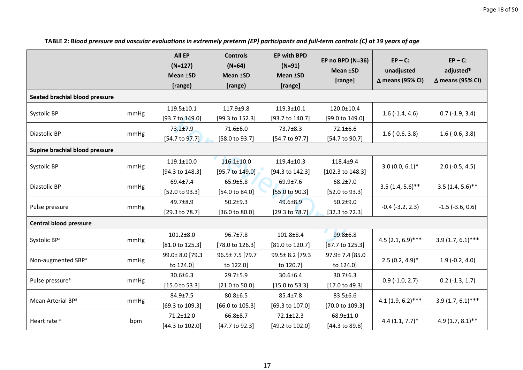|                                |      | <b>All EP</b><br>$(N=127)$<br><b>Mean ±SD</b><br>[range) | <b>Controls</b><br>$(N=64)$<br><b>Mean ±SD</b><br>[range) | <b>EP with BPD</b><br>$(N=91)$<br>Mean ±SD<br>[range] | EP no BPD ( $N=36$ )<br><b>Mean ±SD</b><br>[range] | $EP - C$ :<br>unadjusted<br>$\Delta$ means (95% CI) | $EP - C$ :<br>adjusted <sup>1</sup><br>$\Delta$ means (95% CI) |
|--------------------------------|------|----------------------------------------------------------|-----------------------------------------------------------|-------------------------------------------------------|----------------------------------------------------|-----------------------------------------------------|----------------------------------------------------------------|
| Seated brachial blood pressure |      |                                                          |                                                           |                                                       |                                                    |                                                     |                                                                |
| Systolic BP                    | mmHg | 119.5±10.1<br>[93.7 to 149.0]                            | 117.9±9.8<br>[99.3 to 152.3]                              | $119.3 \pm 10.1$<br>[93.7 to 140.7]                   | 120.0±10.4<br>[99.0 to 149.0]                      | $1.6$ (-1.4, 4.6)                                   | $0.7$ ( $-1.9$ , $3.4$ )                                       |
| Diastolic BP                   | mmHg | $73.2 \pm 7.9$<br>$[54.7 \text{ to } 97.7]$              | 71.6±6.0<br>[58.0 to 93.7]                                | 73.7±8.3<br>[54.7 to 97.7]                            | 72.1±6.6<br>[54.7 to 90.7]                         | $1.6$ (-0.6, 3.8)                                   | $1.6$ (-0.6, 3.8)                                              |
| Supine brachial blood pressure |      |                                                          |                                                           |                                                       |                                                    |                                                     |                                                                |
| Systolic BP                    | mmHg | $119.1 \pm 10.0$<br>[94.3 to 148.3]                      | $116.1 \pm 10.0$<br>[95.7 to 149.0]                       | 119.4±10.3<br>[94.3 to 142.3]                         | $118.4 + 9.4$<br>$[102.3 \text{ to } 148.3]$       | $3.0(0.0, 6.1)$ *                                   | $2.0$ (-0.5, 4.5)                                              |
| Diastolic BP                   | mmHg | 69.4±7.4<br>[52.0 to 93.3]                               | $65.9{\pm}5.8$<br>$[54.0 \text{ to } 84.0]$               | $69.9{\pm}7.6$<br>[55.0 to 90.3]                      | $68.2{\pm}7.0$<br>[52.0 to 93.3]                   | $3.5(1.4, 5.6)$ **                                  | $3.5(1.4, 5.6)$ **                                             |
| Pulse pressure                 | mmHg | 49.7±8.9<br>[29.3 to 78.7]                               | $50.2 \pm 9.3$<br>$[36.0 \text{ to } 80.0]$               | 49.6±8.9<br>$[29.3 \text{ to } 78.7]$                 | $50.2{\pm}9.0$<br>[32.3 to 72.3]                   | $-0.4$ ( $-3.2$ , 2.3)                              | $-1.5$ ( $-3.6$ , 0.6)                                         |
| <b>Central blood pressure</b>  |      |                                                          |                                                           |                                                       |                                                    |                                                     |                                                                |
| Systolic BP <sup>a</sup>       | mmHg | $101.2 \pm 8.0$<br>[81.0 to 125.3]                       | $96.7 \pm 7.8$<br>[78.0 to 126.3]                         | 101.8±8.4<br>[81.0 to 120.7]                          | 99.8±6.8<br>[87.7 to 125.3]                        | $4.5(2.1, 6.9)$ ***                                 | $3.9(1.7, 6.1)$ ***                                            |
| Non-augmented SBP <sup>a</sup> | mmHg | 99.0± 8.0 [79.3<br>to 124.0]                             | 96.5± 7.5 [79.7<br>to 122.0]                              | 99.5± 8.2 [79.3<br>to 120.7]                          | 97.9± 7.4 [85.0<br>to 124.0]                       | $2.5(0.2, 4.9)$ *                                   | $1.9(-0.2, 4.0)$                                               |
| Pulse pressure <sup>a</sup>    | mmHg | $30.6 \pm 6.3$<br>$[15.0 \text{ to } 53.3]$              | $29.7 \pm 5.9$<br>$[21.0 \text{ to } 50.0]$               | 30.6±6.4<br>$[15.0 \text{ to } 53.3]$                 | $30.7 \pm 6.3$<br>$[17.0 \text{ to } 49.3]$        | $0.9$ (-1.0, 2.7)                                   | $0.2$ (-1.3, 1.7)                                              |
| Mean Arterial BP <sup>a</sup>  | mmHg | $84.9 \pm 7.5$<br>[69.3 to 109.3]                        | $80.8 \pm 6.5$<br>$[66.0 \text{ to } 105.3]$              | $85.4{\pm}7.8$<br>[69.3 to 107.0]                     | 83.5±6.6<br>[70.0 to 109.3]                        | $4.1(1.9, 6.2)$ ***                                 | $3.9(1.7, 6.1)$ ***                                            |
| Heart rate <sup>a</sup>        | bpm  | 71.2±12.0<br>[44.3 to 102.0]                             | 66.8±8.7<br>[47.7 to 92.3]                                | 72.1±12.3<br>[49.2 to 102.0]                          | 68.9±11.0<br>[44.3 to 89.8]                        | $4.4(1.1, 7.7)^*$                                   | $4.9(1.7, 8.1)$ **                                             |

**TABLE 2: B***lood pressure and vascular evaluations in extremely preterm (EP) participants and full-term controls (C) at 19 years of age*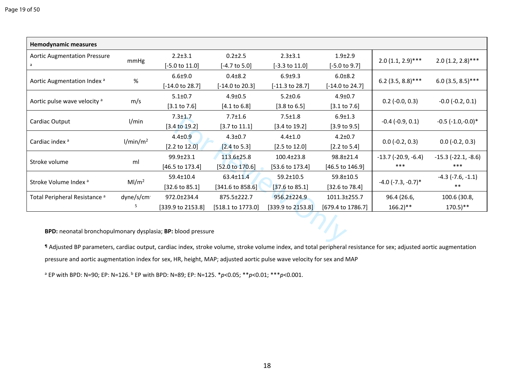| <b>Hemodynamic measures</b>                                  |                      |                            |                             |                            |                            |                              |                            |
|--------------------------------------------------------------|----------------------|----------------------------|-----------------------------|----------------------------|----------------------------|------------------------------|----------------------------|
| <b>Aortic Augmentation Pressure</b>                          | mmHg                 | $2.2 + 3.1$                | $0.2 \pm 2.5$               | $2.3 \pm 3.1$              | $1.9 + 2.9$                | $2.0(1.1, 2.9)$ ***          | $2.0(1.2, 2.8)$ ***        |
|                                                              |                      | $[-5.0 \text{ to } 11.0]$  | $[-4.7 \text{ to } 5.0]$    | $[-3.3 \text{ to } 11.0]$  | $[-5.0 \text{ to } 9.7]$   |                              |                            |
| Aortic Augmentation Index <sup>a</sup>                       | %                    | $6.6 + 9.0$                | $0.4 \pm 8.2$               | $6.9 + 9.3$                | $6.0 \pm 8.2$              | $6.2$ (3.5, 8.8)***          | $6.0(3.5, 8.5)$ ***        |
|                                                              |                      | $[-14.0 \text{ to } 28.7]$ | $[-14.0 \text{ to } 20.3]$  | $[-11.3 \text{ to } 28.7]$ | $[-14.0 \text{ to } 24.7]$ |                              |                            |
| Aortic pulse wave velocity <sup>a</sup>                      |                      | $5.1 \pm 0.7$              | $4.9 \pm 0.5$               | $5.2 \pm 0.6$              | $4.9 \pm 0.7$              |                              |                            |
|                                                              | m/s                  | $[3.1 \text{ to } 7.6]$    | $[4.1 \text{ to } 6.8]$     | $[3.8 \text{ to } 6.5]$    | $[3.1 \text{ to } 7.6]$    | $0.2$ (-0.0, 0.3)            | $-0.0$ ( $-0.2$ , $0.1$ )  |
|                                                              |                      | $7.3 + 1.7$                | $7.7 \pm 1.6$               | $7.5 \pm 1.8$              | $6.9 \pm 1.3$              |                              |                            |
| Cardiac Output                                               | $1/m$ in             | $[3.4 \text{ to } 19.2]$   | $[3.7 \text{ to } 11.1]$    | $[3.4 \text{ to } 19.2]$   | $[3.9 \text{ to } 9.5]$    | $-0.4$ $(-0.9, 0.1)$         | $-0.5$ ( $-1.0, -0.0$ )*   |
|                                                              | 1/min/m <sup>2</sup> | $4.4 \pm 0.9$              | $4.3 \pm 0.7$               | $4.4 \pm 1.0$              | $4.2 \pm 0.7$              |                              | $0.0$ (-0.2, 0.3)          |
| Cardiac index <sup>a</sup>                                   |                      | $[2.2 \text{ to } 12.0]$   | $[2.4 \text{ to } 5.3]$     | $[2.5 \text{ to } 12.0]$   | $[2.2 \text{ to } 5.4]$    | $0.0$ (-0.2, 0.3)            |                            |
|                                                              |                      | 99.9±23.1                  | $113.6 \pm 25.8$            | $100.4 \pm 23.8$           | 98.8±21.4                  | $-13.7$ ( $-20.9$ , $-6.4$ ) | $-15.3$ $(-22.1, -8.6)$    |
| Stroke volume                                                | ml                   | $[46.5 \text{ to } 173.4]$ | $[52.0 \text{ to } 170.6]$  | $[53.6 \text{ to } 173.4]$ | $[46.5 \text{ to } 146.9]$ | ***                          | ***                        |
|                                                              |                      | 59.4±10.4                  | $63.4 \pm 11.4$             | $59.2 \pm 10.5$            | 59.8±10.5                  |                              | $-4.3$ ( $-7.6$ , $-1.1$ ) |
| Stroke Volume Index <sup>a</sup>                             | M/m <sup>2</sup>     | $[32.6 \text{ to } 85.1]$  | $[341.6 \text{ to } 858.6]$ | $[37.6 \text{ to } 85.1]$  | $[32.6 \text{ to } 78.4]$  | $-4.0$ ( $-7.3$ , $-0.7$ )*  | $***$                      |
| Total Peripheral Resistance <sup>a</sup>                     | dyne/s/cm            | 972.0±234.4                | 875.5±222.7                 | 956.2±224.9                | 1011.3±255.7               | 96.4 (26.6,                  | 100.6 (30.8,               |
|                                                              | 5                    | [339.9 to 2153.8]          | [518.1 to 1773.0]           | [339.9 to 2153.8]          | [679.4 to 1786.7]          | $166.2$ <sup>**</sup>        | $170.5$ <sup>**</sup>      |
|                                                              |                      |                            |                             |                            |                            |                              |                            |
| BPD: neonatal bronchopulmonary dysplasia; BP: blood pressure |                      |                            |                             |                            |                            |                              |                            |

**¶** Adjusted BP parameters, cardiac output, cardiac index, stroke volume, stroke volume index, and total peripheral resistance for sex; adjusted aortic augmentation pressure and aortic augmentation index for sex, HR, height, MAP; adjusted aortic pulse wave velocity for sex and MAP

<sup>a</sup> EP with BPD: N=90; EP: N=126.<sup>b</sup> EP with BPD: N=89; EP: N=125. \*p<0.05; \*\*p<0.01; \*\*\*p<0.001.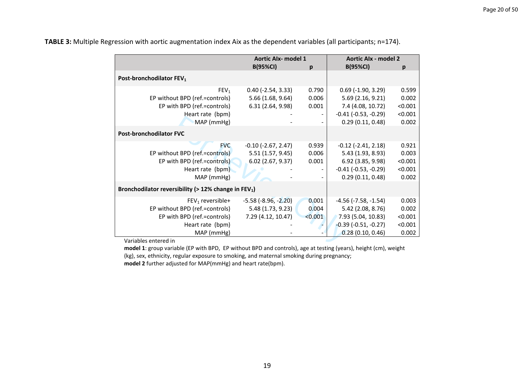|                                                                     | <b>Aortic Alx- model 1</b>    |         | Aortic Alx - model 2          |         |
|---------------------------------------------------------------------|-------------------------------|---------|-------------------------------|---------|
|                                                                     | <b>B(95%CI)</b>               | p       | <b>B(95%CI)</b>               | р       |
| Post-bronchodilator FEV <sub>1</sub>                                |                               |         |                               |         |
| FEV <sub>1</sub>                                                    | $0.40$ (-2.54, 3.33)          | 0.790   | $0.69$ (-1.90, 3.29)          | 0.599   |
| EP without BPD (ref.=controls)                                      | 5.66 (1.68, 9.64)             | 0.006   | 5.69 (2.16, 9.21)             | 0.002   |
| EP with BPD (ref.=controls)                                         | 6.31 (2.64, 9.98)             | 0.001   | 7.4 (4.08, 10.72)             | < 0.001 |
| Heart rate (bpm)                                                    |                               |         | $-0.41$ ( $-0.53$ , $-0.29$ ) | < 0.001 |
| MAP (mmHg)                                                          |                               |         | 0.29(0.11, 0.48)              | 0.002   |
| <b>Post-bronchodilator FVC</b>                                      |                               |         |                               |         |
| <b>FVC</b>                                                          | $-0.10$ $(-2.67, 2.47)$       | 0.939   | $-0.12$ $(-2.41, 2.18)$       | 0.921   |
| EP without BPD (ref.=controls)                                      | 5.51 (1.57, 9.45)             | 0.006   | 5.43 (1.93, 8.93)             | 0.003   |
| EP with BPD (ref.=controls)                                         | $6.02$ (2.67, 9.37)           | 0.001   | 6.92 (3.85, 9.98)             | < 0.001 |
| Heart rate (bpm)                                                    |                               |         | $-0.41$ ( $-0.53$ , $-0.29$ ) | < 0.001 |
| MAP (mmHg)                                                          |                               |         | 0.29(0.11, 0.48)              | 0.002   |
| Bronchodilator reversibility ( $>$ 12% change in FEV <sub>1</sub> ) |                               |         |                               |         |
| $FEV1$ reversible+                                                  | $-5.58$ ( $-8.96$ , $-2.20$ ) | 0.001   | $-4.56$ ( $-7.58$ , $-1.54$ ) | 0.003   |
| EP without BPD (ref.=controls)                                      | 5.48 (1.73, 9.23)             | 0.004   | 5.42 (2.08, 8.76)             | 0.002   |
| EP with BPD (ref.=controls)                                         | 7.29 (4.12, 10.47)            | < 0.001 | 7.93 (5.04, 10.83)            | < 0.001 |
| Heart rate (bpm)                                                    |                               |         | $-0.39$ ( $-0.51$ , $-0.27$ ) | < 0.001 |
| MAP (mmHg)                                                          |                               |         | 0.28(0.10, 0.46)              | 0.002   |

**TABLE 3:** Multiple Regression with aortic augmentation index Aix as the dependent variables (all participants; n=174).

**model 1**: group variable (EP with BPD, EP without BPD and controls), age at testing (years), height (cm), weight (kg), sex, ethnicity, regular exposure to smoking, and maternal smoking during pregnancy; **model 2** further adjusted for MAP(mmHg) and heart rate(bpm).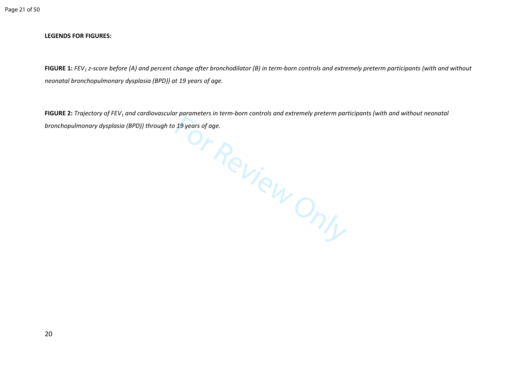#### **LEGENDS FOR FIGURES:**

**FIGURE 1:** *FEV1 z-score before (A) and percent change after bronchodilator (B) in term-born controls and extremely preterm participants (with and without neonatal bronchopulmonary dysplasia (BPD)) at 19 years of age.*

ers in te.<br>Or Review Only **FIGURE 2:** *Trajectory of FEV1 and cardiovascular parameters in term-born controls and extremely preterm participants (with and without neonatal bronchopulmonary dysplasia (BPD)) through to 19 years of age.*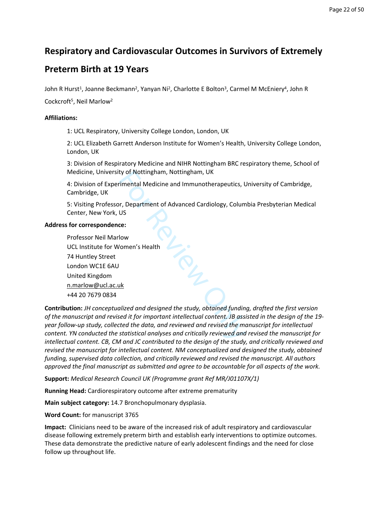# **Respiratory and Cardiovascular Outcomes in Survivors of Extremely**

# **Preterm Birth at 19 Years**

John R Hurst<sup>1</sup>, Joanne Beckmann<sup>2</sup>, Yanyan Ni<sup>2</sup>, Charlotte E Bolton<sup>3</sup>, Carmel M McEniery<sup>4</sup>, John R

Cockcroft<sup>5</sup>, Neil Marlow<sup>2</sup>

## **Affiliations:**

1: UCL Respiratory, University College London, London, UK

2: UCL Elizabeth Garrett Anderson Institute for Women's Health, University College London, London, UK

3: Division of Respiratory Medicine and NIHR Nottingham BRC respiratory theme, School of Medicine, University of Nottingham, Nottingham, UK

4: Division of Experimental Medicine and Immunotherapeutics, University of Cambridge, Cambridge, UK

5: Visiting Professor, Department of Advanced Cardiology, Columbia Presbyterian Medical Center, New York, US

## **Address for correspondence:**

Professor Neil Marlow UCL Institute for Women's Health 74 Huntley Street London WC1E 6AU United Kingdom [n.marlow@ucl.ac.uk](mailto:n.marlow@ucl.ac.uk) +44 20 7679 0834

ty of Nottingham, Nottingham, UK<br>
imental Medicine and Immunotherapeutics, U<br>
or, Department of Advanced Cardiology, Colum<br>
US<br>
ce:<br>
low<br>
'omen's Health<br>
Lized and designed the study, obtained funding<br>
review of it for imp **Contribution:** *JH conceptualized and designed the study, obtained funding, drafted the first version of the manuscript and revised it for important intellectual content. JB assisted in the design of the 19 year follow-up study, collected the data, and reviewed and revised the manuscript for intellectual content. YN conducted the statistical analyses and critically reviewed and revised the manuscript for intellectual content. CB, CM and JC contributed to the design of the study, and critically reviewed and revised the manuscript for intellectual content. NM conceptualized and designed the study, obtained funding, supervised data collection, and critically reviewed and revised the manuscript. All authors approved the final manuscript as submitted and agree to be accountable for all aspects of the work.*

**Support:** *Medical Research Council UK (Programme grant Ref MR/J01107X/1)*

**Running Head:** Cardiorespiratory outcome after extreme prematurity

**Main subject category:** 14.7 Bronchopulmonary dysplasia.

**Word Count:** for manuscript 3765

**Impact:** Clinicians need to be aware of the increased risk of adult respiratory and cardiovascular disease following extremely preterm birth and establish early interventions to optimize outcomes. These data demonstrate the predictive nature of early adolescent findings and the need for close follow up throughout life.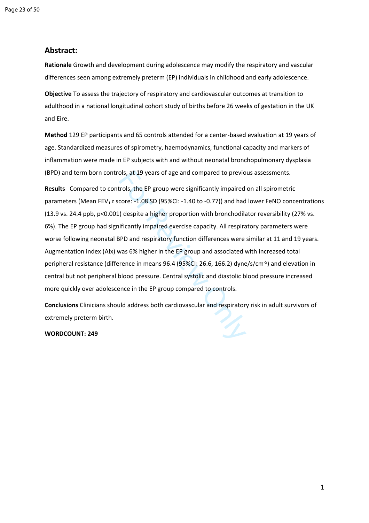# **Abstract:**

**Rationale** Growth and development during adolescence may modify the respiratory and vascular differences seen among extremely preterm (EP) individuals in childhood and early adolescence.

**Objective** To assess the trajectory of respiratory and cardiovascular outcomes at transition to adulthood in a national longitudinal cohort study of births before 26 weeks of gestation in the UK and Eire.

**Method** 129 EP participants and 65 controls attended for a center-based evaluation at 19 years of age. Standardized measures of spirometry, haemodynamics, functional capacity and markers of inflammation were made in EP subjects with and without neonatal bronchopulmonary dysplasia (BPD) and term born controls, at 19 years of age and compared to previous assessments.

ols, at 19 years of age and compared to previo<br>rols, the EP group were significantly impaired<br>core: -1.08 SD (95%Cl: -1.40 to -0.77)) and had<br>) despite a higher proportion with bronchodila<br>ificantly impaired exercise capac **Results** Compared to controls, the EP group were significantly impaired on all spirometric parameters (Mean FEV<sub>1</sub> z score: -1.08 SD (95%CI: -1.40 to -0.77)) and had lower FeNO concentrations (13.9 vs. 24.4 ppb, p<0.001) despite a higher proportion with bronchodilator reversibility (27% vs. 6%). The EP group had significantly impaired exercise capacity. All respiratory parameters were worse following neonatal BPD and respiratory function differences were similar at 11 and 19 years. Augmentation index (AIx) was 6% higher in the EP group and associated with increased total peripheral resistance (difference in means 96.4 (95%CI: 26.6, 166.2) dyne/s/cm-5) and elevation in central but not peripheral blood pressure. Central systolic and diastolic blood pressure increased more quickly over adolescence in the EP group compared to controls.

**Conclusions** Clinicians should address both cardiovascular and respiratory risk in adult survivors of extremely preterm birth.

**WORDCOUNT: 249**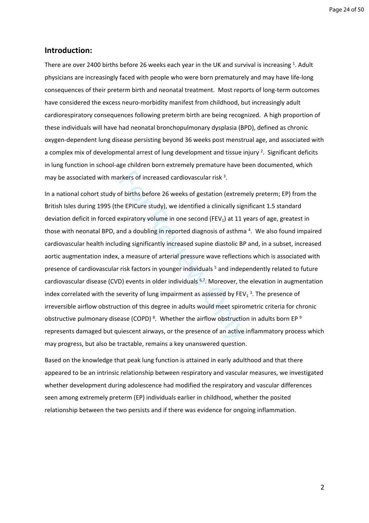## **Introduction:**

There are over 2400 births before 26 weeks each year in the UK and survival is increasing <sup>1</sup>. Adult physicians are increasingly faced with people who were born prematurely and may have life-long consequences of their preterm birth and neonatal treatment. Most reports of long-term outcomes have considered the excess neuro-morbidity manifest from childhood, but increasingly adult cardiorespiratory consequences following preterm birth are being recognized. A high proportion of these individuals will have had neonatal bronchopulmonary dysplasia (BPD), defined as chronic oxygen-dependent lung disease persisting beyond 36 weeks post menstrual age, and associated with a complex mix of developmental arrest of lung development and tissue injury <sup>2</sup>. Significant deficits in lung function in school-age children born extremely premature have been documented, which may be associated with markers of increased cardiovascular risk <sup>3</sup>.

rkers of increased cardiovascular risk<sup>3</sup>.<br>
Sof births before 26 weeks of gestation (extrement e EPICure study), we identified a clinically signexpiratory volume in one second (FEV<sub>1</sub>) at 11 y and a doubling in reported di In a national cohort study of births before 26 weeks of gestation (extremely preterm; EP) from the British Isles during 1995 (the EPICure study), we identified a clinically significant 1.5 standard deviation deficit in forced expiratory volume in one second (FEV<sub>1</sub>) at 11 years of age, greatest in those with neonatal BPD, and a doubling in reported diagnosis of asthma <sup>4</sup>. We also found impaired cardiovascular health including significantly increased supine diastolic BP and, in a subset, increased aortic augmentation index, a measure of arterial pressure wave reflections which is associated with presence of cardiovascular risk factors in younger individuals 5 and independently related to future cardiovascular disease (CVD) events in older individuals  $6,7$ . Moreover, the elevation in augmentation index correlated with the severity of lung impairment as assessed by  $FEV<sub>1</sub>$ <sup>3</sup>. The presence of irreversible airflow obstruction of this degree in adults would meet spirometric criteria for chronic obstructive pulmonary disease (COPD)<sup>8</sup>. Whether the airflow obstruction in adults born EP<sup>9</sup> represents damaged but quiescent airways, or the presence of an active inflammatory process which may progress, but also be tractable, remains a key unanswered question.

Based on the knowledge that peak lung function is attained in early adulthood and that there appeared to be an intrinsic relationship between respiratory and vascular measures, we investigated whether development during adolescence had modified the respiratory and vascular differences seen among extremely preterm (EP) individuals earlier in childhood, whether the posited relationship between the two persists and if there was evidence for ongoing inflammation.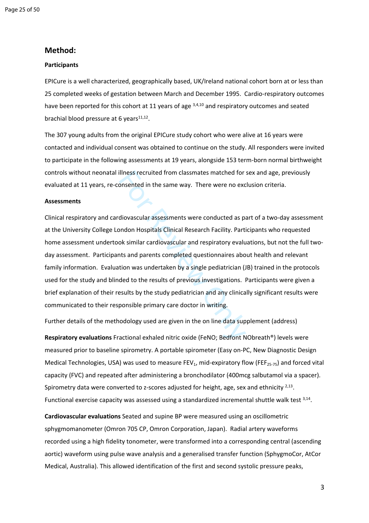## **Method:**

### **Participants**

EPICure is a well characterized, geographically based, UK/Ireland national cohort born at or less than 25 completed weeks of gestation between March and December 1995. Cardio-respiratory outcomes have been reported for this cohort at 11 years of age 3,4,10 and respiratory outcomes and seated brachial blood pressure at 6 years<sup>11,12</sup>.

The 307 young adults from the original EPICure study cohort who were alive at 16 years were contacted and individual consent was obtained to continue on the study. All responders were invited to participate in the following assessments at 19 years, alongside 153 term-born normal birthweight controls without neonatal illness recruited from classmates matched for sex and age, previously evaluated at 11 years, re-consented in the same way. There were no exclusion criteria.

#### **Assessments**

illness recruited from classmates matched for :<br>onsented in the same way. There were no exc<br>diovascular assessments were conducted as pa<br>ondon Hospitals Clinical Research Facility. Parti<br>ok similar cardiovascular and respi Clinical respiratory and cardiovascular assessments were conducted as part of a two-day assessment at the University College London Hospitals Clinical Research Facility. Participants who requested home assessment undertook similar cardiovascular and respiratory evaluations, but not the full twoday assessment. Participants and parents completed questionnaires about health and relevant family information. Evaluation was undertaken by a single pediatrician (JB) trained in the protocols used for the study and blinded to the results of previous investigations. Participants were given a brief explanation of their results by the study pediatrician and any clinically significant results were communicated to their responsible primary care doctor in writing.

Further details of the methodology used are given in the on line data supplement (address)

**Respiratory evaluations** Fractional exhaled nitric oxide (FeNO; Bedfont NObreath®) levels were measured prior to baseline spirometry. A portable spirometer (Easy on-PC, New Diagnostic Design Medical Technologies, USA) was used to measure FEV<sub>1</sub>, mid-expiratory flow (FEF<sub>25-75</sub>) and forced vital capacity (FVC) and repeated after administering a bronchodilator (400mcg salbutamol via a spacer). Spirometry data were converted to z-scores adjusted for height, age, sex and ethnicity  $2,13$ . Functional exercise capacity was assessed using a standardized incremental shuttle walk test 3,14.

**Cardiovascular evaluations** Seated and supine BP were measured using an oscillometric sphygmomanometer (Omron 705 CP, Omron Corporation, Japan). Radial artery waveforms recorded using a high fidelity tonometer, were transformed into a corresponding central (ascending aortic) waveform using pulse wave analysis and a generalised transfer function (SphygmoCor, AtCor Medical, Australia). This allowed identification of the first and second systolic pressure peaks,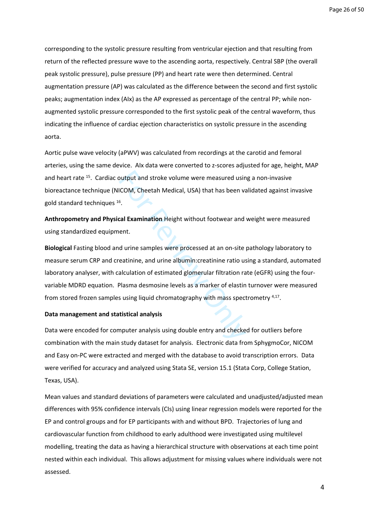corresponding to the systolic pressure resulting from ventricular ejection and that resulting from return of the reflected pressure wave to the ascending aorta, respectively. Central SBP (the overall peak systolic pressure), pulse pressure (PP) and heart rate were then determined. Central augmentation pressure (AP) was calculated as the difference between the second and first systolic peaks; augmentation index (AIx) as the AP expressed as percentage of the central PP; while nonaugmented systolic pressure corresponded to the first systolic peak of the central waveform, thus indicating the influence of cardiac ejection characteristics on systolic pressure in the ascending aorta.

Aortic pulse wave velocity (aPWV) was calculated from recordings at the carotid and femoral arteries, using the same device. AIx data were converted to z-scores adjusted for age, height, MAP and heart rate <sup>15</sup>. Cardiac output and stroke volume were measured using a non-invasive bioreactance technique (NICOM, Cheetah Medical, USA) that has been validated against invasive gold standard techniques <sup>16</sup>.

**Anthropometry and Physical Examination** Height without footwear and weight were measured using standardized equipment.

butput and stroke volume were measured usin<br>ICOM, Cheetah Medical, USA) that has been va<br>6.<br>The Review of Medical, USA) that has been va<br>6.<br>Cal Examination Height without footwear and<br>ent.<br>d urine samples were processed at **Biological** Fasting blood and urine samples were processed at an on-site pathology laboratory to measure serum CRP and creatinine, and urine albumin:creatinine ratio using a standard, automated laboratory analyser, with calculation of estimated glomerular filtration rate (eGFR) using the fourvariable MDRD equation. Plasma desmosine levels as a marker of elastin turnover were measured from stored frozen samples using liquid chromatography with mass spectrometry <sup>4,17</sup>.

#### **Data management and statistical analysis**

Data were encoded for computer analysis using double entry and checked for outliers before combination with the main study dataset for analysis. Electronic data from SphygmoCor, NICOM and Easy on-PC were extracted and merged with the database to avoid transcription errors. Data were verified for accuracy and analyzed using Stata SE, version 15.1 (Stata Corp, College Station, Texas, USA).

Mean values and standard deviations of parameters were calculated and unadjusted/adjusted mean differences with 95% confidence intervals (CIs) using linear regression models were reported for the EP and control groups and for EP participants with and without BPD. Trajectories of lung and cardiovascular function from childhood to early adulthood were investigated using multilevel modelling, treating the data as having a hierarchical structure with observations at each time point nested within each individual. This allows adjustment for missing values where individuals were not assessed.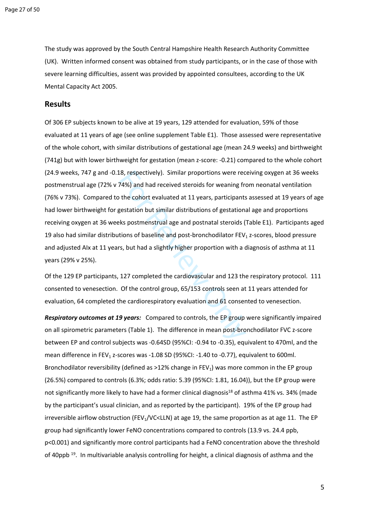The study was approved by the South Central Hampshire Health Research Authority Committee (UK). Written informed consent was obtained from study participants, or in the case of those with severe learning difficulties, assent was provided by appointed consultees, according to the UK Mental Capacity Act 2005.

## **Results**

18, respectively). Similar proportions were rec<br>
74%) and had received steroids for weaning fre<br>
16. The cohort evaluated at 11 years, participants<br>
18. Expections of gestations<br>
18. Expections of baseline and post-bronch Of 306 EP subjects known to be alive at 19 years, 129 attended for evaluation, 59% of those evaluated at 11 years of age (see online supplement Table E1). Those assessed were representative of the whole cohort, with similar distributions of gestational age (mean 24.9 weeks) and birthweight (741g) but with lower birthweight for gestation (mean z-score: -0.21) compared to the whole cohort (24.9 weeks, 747 g and -0.18, respectively). Similar proportions were receiving oxygen at 36 weeks postmenstrual age (72% v 74%) and had received steroids for weaning from neonatal ventilation (76% v 73%). Compared to the cohort evaluated at 11 years, participants assessed at 19 years of age had lower birthweight for gestation but similar distributions of gestational age and proportions receiving oxygen at 36 weeks postmenstrual age and postnatal steroids (Table E1). Participants aged 19 also had similar distributions of baseline and post-bronchodilator  $FEV<sub>1</sub>$  z-scores, blood pressure and adjusted AIx at 11 years, but had a slightly higher proportion with a diagnosis of asthma at 11 years (29% v 25%).

Of the 129 EP participants, 127 completed the cardiovascular and 123 the respiratory protocol. 111 consented to venesection. Of the control group, 65/153 controls seen at 11 years attended for evaluation, 64 completed the cardiorespiratory evaluation and 61 consented to venesection.

*Respiratory outcomes at 19 years:* Compared to controls, the EP group were significantly impaired on all spirometric parameters (Table 1). The difference in mean post-bronchodilator FVC z-score between EP and control subjects was -0.64SD (95%CI: -0.94 to -0.35), equivalent to 470ml, and the mean difference in FEV<sub>1</sub> z-scores was -1.08 SD (95%CI: -1.40 to -0.77), equivalent to 600ml. Bronchodilator reversibility (defined as >12% change in FEV<sub>1</sub>) was more common in the EP group (26.5%) compared to controls (6.3%; odds ratio: 5.39 (95%CI: 1.81, 16.04)), but the EP group were not significantly more likely to have had a former clinical diagnosis<sup>18</sup> of asthma 41% vs. 34% (made by the participant's usual clinician, and as reported by the participant). 19% of the EP group had irreversible airflow obstruction (FEV<sub>1</sub>/VC<LLN) at age 19, the same proportion as at age 11. The EP group had significantly lower FeNO concentrations compared to controls (13.9 vs. 24.4 ppb, p<0.001) and significantly more control participants had a FeNO concentration above the threshold of 40ppb <sup>19</sup>. In multivariable analysis controlling for height, a clinical diagnosis of asthma and the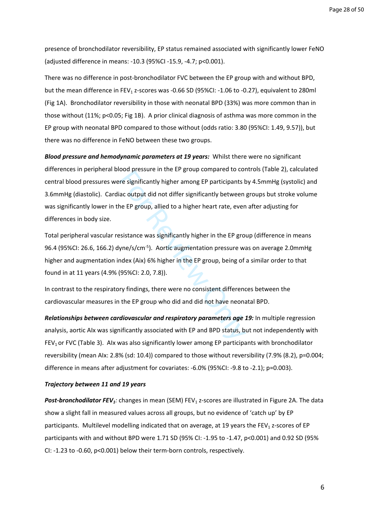presence of bronchodilator reversibility, EP status remained associated with significantly lower FeNO (adjusted difference in means: -10.3 (95%CI -15.9, -4.7; p<0.001).

There was no difference in post-bronchodilator FVC between the EP group with and without BPD, but the mean difference in FEV<sub>1</sub> z-scores was -0.66 SD (95%CI: -1.06 to -0.27), equivalent to 280ml (Fig 1A). Bronchodilator reversibility in those with neonatal BPD (33%) was more common than in those without (11%; p<0.05; Fig 1B). A prior clinical diagnosis of asthma was more common in the EP group with neonatal BPD compared to those without (odds ratio: 3.80 (95%CI: 1.49, 9.57)), but there was no difference in FeNO between these two groups.

bod pressure in the Er group compared to cor-<br>The significantly higher among EP participants bac output did not differ significantly between and<br>the EP group, allied to a higher heart rate, even<br>sistance was significantly *Blood pressure and hemodynamic parameters at 19 years:* Whilst there were no significant differences in peripheral blood pressure in the EP group compared to controls (Table 2), calculated central blood pressures were significantly higher among EP participants by 4.5mmHg (systolic) and 3.6mmHg (diastolic). Cardiac output did not differ significantly between groups but stroke volume was significantly lower in the EP group, allied to a higher heart rate, even after adjusting for differences in body size.

Total peripheral vascular resistance was significantly higher in the EP group (difference in means 96.4 (95%CI: 26.6, 166.2) dyne/s/cm<sup>-5</sup>). Aortic augmentation pressure was on average 2.0mmHg higher and augmentation index (Aix) 6% higher in the EP group, being of a similar order to that found in at 11 years (4.9% (95%CI: 2.0, 7.8)).

In contrast to the respiratory findings, there were no consistent differences between the cardiovascular measures in the EP group who did and did not have neonatal BPD.

*Relationships between cardiovascular and respiratory parameters age 19:* In multiple regression analysis, aortic AIx was significantly associated with EP and BPD status, but not independently with FEV<sub>1</sub> or FVC (Table 3). AIx was also significantly lower among EP participants with bronchodilator reversibility (mean AIx: 2.8% (sd: 10.4)) compared to those without reversibility (7.9% (8.2), p=0.004; difference in means after adjustment for covariates: -6.0% (95%CI: -9.8 to -2.1); p=0.003).

### *Trajectory between 11 and 19 years*

Post-bronchodilator FEV<sub>1</sub>: changes in mean (SEM) FEV<sub>1</sub> z-scores are illustrated in Figure 2A. The data show a slight fall in measured values across all groups, but no evidence of 'catch up' by EP participants. Multilevel modelling indicated that on average, at 19 years the FEV<sub>1</sub> z-scores of EP participants with and without BPD were 1.71 SD (95% CI: -1.95 to -1.47, p<0.001) and 0.92 SD (95% CI: -1.23 to -0.60, p<0.001) below their term-born controls, respectively.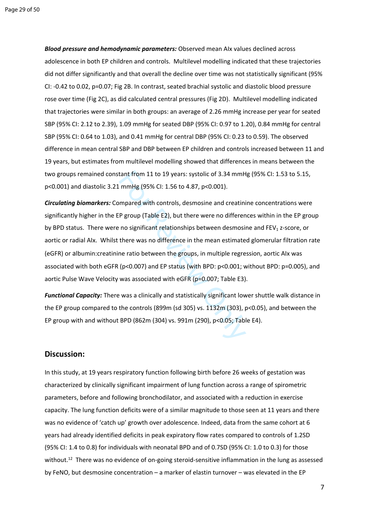*Blood pressure and hemodynamic parameters:* Observed mean AIx values declined across adolescence in both EP children and controls. Multilevel modelling indicated that these trajectories did not differ significantly and that overall the decline over time was not statistically significant (95% CI: -0.42 to 0.02, p=0.07; Fig 2B. In contrast, seated brachial systolic and diastolic blood pressure rose over time (Fig 2C), as did calculated central pressures (Fig 2D). Multilevel modelling indicated that trajectories were similar in both groups: an average of 2.26 mmHg increase per year for seated SBP (95% CI: 2.12 to 2.39), 1.09 mmHg for seated DBP (95% CI: 0.97 to 1.20), 0.84 mmHg for central SBP (95% CI: 0.64 to 1.03), and 0.41 mmHg for central DBP (95% CI: 0.23 to 0.59). The observed difference in mean central SBP and DBP between EP children and controls increased between 11 and 19 years, but estimates from multilevel modelling showed that differences in means between the two groups remained constant from 11 to 19 years: systolic of 3.34 mmHg (95% CI: 1.53 to 5.15, p<0.001) and diastolic 3.21 mmHg (95% CI: 1.56 to 4.87, p<0.001).

tant from 11 to 19 years: systolic of 3.34 mmH<br>mmHg (95% CI: 1.56 to 4.87, p<0.001).<br>mpared with controls, desmosine and creatini<br>P group (Table E2), but there were no differen<br>no significant relationships between desmosi *Circulating biomarkers:* Compared with controls, desmosine and creatinine concentrations were significantly higher in the EP group (Table E2), but there were no differences within in the EP group by BPD status. There were no significant relationships between desmosine and FEV<sub>1</sub> z-score, or aortic or radial AIx. Whilst there was no difference in the mean estimated glomerular filtration rate (eGFR) or albumin:creatinine ratio between the groups, in multiple regression, aortic AIx was associated with both eGFR (p<0.007) and EP status (with BPD: p<0.001; without BPD: p=0.005), and aortic Pulse Wave Velocity was associated with eGFR (p=0.007; Table E3).

*Functional Capacity:* There was a clinically and statistically significant lower shuttle walk distance in the EP group compared to the controls (899m (sd 305) vs. 1132m (303), p<0.05), and between the EP group with and without BPD (862m (304) vs. 991m (290), p<0.05; Table E4).

## **Discussion:**

In this study, at 19 years respiratory function following birth before 26 weeks of gestation was characterized by clinically significant impairment of lung function across a range of spirometric parameters, before and following bronchodilator, and associated with a reduction in exercise capacity. The lung function deficits were of a similar magnitude to those seen at 11 years and there was no evidence of 'catch up' growth over adolescence. Indeed, data from the same cohort at 6 years had already identified deficits in peak expiratory flow rates compared to controls of 1.2SD (95% CI: 1.4 to 0.8) for individuals with neonatal BPD and of 0.7SD (95% CI: 1.0 to 0.3) for those without.<sup>12</sup> There was no evidence of on-going steroid-sensitive inflammation in the lung as assessed by FeNO, but desmosine concentration – a marker of elastin turnover – was elevated in the EP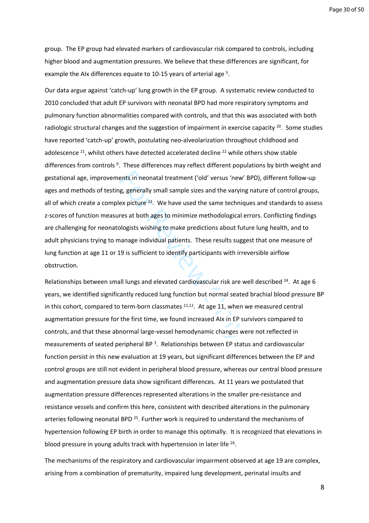Page 30 of 50

group. The EP group had elevated markers of cardiovascular risk compared to controls, including higher blood and augmentation pressures. We believe that these differences are significant, for example the AIx differences equate to 10-15 years of arterial age <sup>5</sup>.

ents in neonatal treatment ('old' versus 'new'<br>g, generally small sample sizes and the varying<br>ex picture <sup>23</sup>. We have used the same techniq<br>res at both ages to minimize methodological e<br>plogists wishing to make predictio Our data argue against 'catch-up' lung growth in the EP group. A systematic review conducted to 2010 concluded that adult EP survivors with neonatal BPD had more respiratory symptoms and pulmonary function abnormalities compared with controls, and that this was associated with both radiologic structural changes and the suggestion of impairment in exercise capacity  $^{20}$ . Some studies have reported 'catch-up' growth, postulating neo-alveolarization throughout childhood and adolescence <sup>21</sup>, whilst others have detected accelerated decline <sup>22</sup> while others show stable differences from controls<sup>9</sup>. These differences may reflect different populations by birth weight and gestational age, improvements in neonatal treatment ('old' versus 'new' BPD), different follow-up ages and methods of testing, generally small sample sizes and the varying nature of control groups, all of which create a complex picture  $^{23}$ . We have used the same techniques and standards to assess z-scores of function measures at both ages to minimize methodological errors. Conflicting findings are challenging for neonatologists wishing to make predictions about future lung health, and to adult physicians trying to manage individual patients. These results suggest that one measure of lung function at age 11 or 19 is sufficient to identify participants with irreversible airflow obstruction.

Relationships between small lungs and elevated cardiovascular risk are well described <sup>24</sup>. At age 6 years, we identified significantly reduced lung function but normal seated brachial blood pressure BP in this cohort, compared to term-born classmates <sup>11,12</sup>. At age 11, when we measured central augmentation pressure for the first time, we found increased AIx in EP survivors compared to controls, and that these abnormal large-vessel hemodynamic changes were not reflected in measurements of seated peripheral BP<sup>3</sup>. Relationships between EP status and cardiovascular function persist in this new evaluation at 19 years, but significant differences between the EP and control groups are still not evident in peripheral blood pressure, whereas our central blood pressure and augmentation pressure data show significant differences. At 11 years we postulated that augmentation pressure differences represented alterations in the smaller pre-resistance and resistance vessels and confirm this here, consistent with described alterations in the pulmonary arteries following neonatal BPD <sup>25</sup>. Further work is required to understand the mechanisms of hypertension following EP birth in order to manage this optimally. It is recognized that elevations in blood pressure in young adults track with hypertension in later life <sup>26</sup>.

The mechanisms of the respiratory and cardiovascular impairment observed at age 19 are complex, arising from a combination of prematurity, impaired lung development, perinatal insults and

8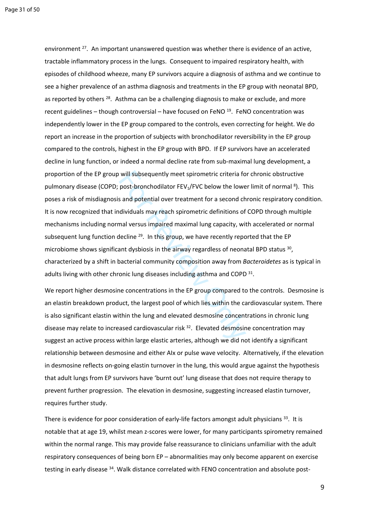will subsequently meet spirometric criteria fo<br>post-bronchodilator  $FEV_1/FVC$  below the lowe<br>s and potential over treatment for a second ch<br>dividuals may reach spirometric definitions of<br>nal versus impaired maximal lung cap environment <sup>27</sup>. An important unanswered question was whether there is evidence of an active, tractable inflammatory process in the lungs. Consequent to impaired respiratory health, with episodes of childhood wheeze, many EP survivors acquire a diagnosis of asthma and we continue to see a higher prevalence of an asthma diagnosis and treatments in the EP group with neonatal BPD, as reported by others <sup>28</sup>. Asthma can be a challenging diagnosis to make or exclude, and more recent guidelines – though controversial – have focused on FeNO  $^{19}$ . FeNO concentration was independently lower in the EP group compared to the controls, even correcting for height. We do report an increase in the proportion of subjects with bronchodilator reversibility in the EP group compared to the controls, highest in the EP group with BPD. If EP survivors have an accelerated decline in lung function, or indeed a normal decline rate from sub-maximal lung development, a proportion of the EP group will subsequently meet spirometric criteria for chronic obstructive pulmonary disease (COPD; post-bronchodilator FEV<sub>1</sub>/FVC below the lower limit of normal <sup>8</sup>). This poses a risk of misdiagnosis and potential over treatment for a second chronic respiratory condition. It is now recognized that individuals may reach spirometric definitions of COPD through multiple mechanisms including normal versus impaired maximal lung capacity, with accelerated or normal subsequent lung function decline  $^{29}$ . In this group, we have recently reported that the EP microbiome shows significant dysbiosis in the airway regardless of neonatal BPD status <sup>30</sup>, characterized by a shift in bacterial community composition away from *Bacteroidetes* as is typical in adults living with other chronic lung diseases including asthma and COPD<sup>31</sup>.

We report higher desmosine concentrations in the EP group compared to the controls. Desmosine is an elastin breakdown product, the largest pool of which lies within the cardiovascular system. There is also significant elastin within the lung and elevated desmosine concentrations in chronic lung disease may relate to increased cardiovascular risk  $32$ . Elevated desmosine concentration may suggest an active process within large elastic arteries, although we did not identify a significant relationship between desmosine and either AIx or pulse wave velocity. Alternatively, if the elevation in desmosine reflects on-going elastin turnover in the lung, this would argue against the hypothesis that adult lungs from EP survivors have 'burnt out' lung disease that does not require therapy to prevent further progression. The elevation in desmosine, suggesting increased elastin turnover, requires further study.

There is evidence for poor consideration of early-life factors amongst adult physicians 33. It is notable that at age 19, whilst mean z-scores were lower, for many participants spirometry remained within the normal range. This may provide false reassurance to clinicians unfamiliar with the adult respiratory consequences of being born EP – abnormalities may only become apparent on exercise testing in early disease 34. Walk distance correlated with FENO concentration and absolute post-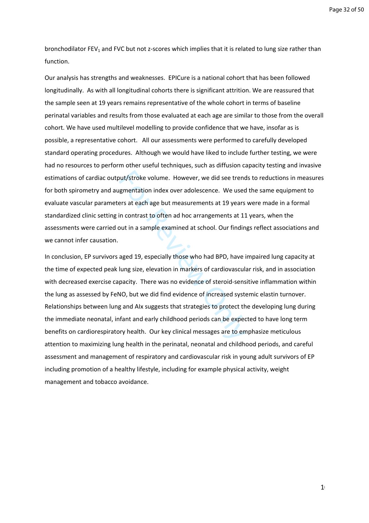Page 32 of 50

bronchodilator FEV<sub>1</sub> and FVC but not z-scores which implies that it is related to lung size rather than function.

Our analysis has strengths and weaknesses. EPICure is a national cohort that has been followed longitudinally. As with all longitudinal cohorts there is significant attrition. We are reassured that the sample seen at 19 years remains representative of the whole cohort in terms of baseline perinatal variables and results from those evaluated at each age are similar to those from the overall cohort. We have used multilevel modelling to provide confidence that we have, insofar as is possible, a representative cohort. All our assessments were performed to carefully developed standard operating procedures. Although we would have liked to include further testing, we were had no resources to perform other useful techniques, such as diffusion capacity testing and invasive estimations of cardiac output/stroke volume. However, we did see trends to reductions in measures for both spirometry and augmentation index over adolescence. We used the same equipment to evaluate vascular parameters at each age but measurements at 19 years were made in a formal standardized clinic setting in contrast to often ad hoc arrangements at 11 years, when the assessments were carried out in a sample examined at school. Our findings reflect associations and we cannot infer causation.

out/stroke volume. However, we did see trend<br>gmentation index over adolescence. We used<br>ers at each age but measurements at 19 years<br>in contrast to often ad hoc arrangements at 11<br>out in a sample examined at school. Our fi In conclusion, EP survivors aged 19, especially those who had BPD, have impaired lung capacity at the time of expected peak lung size, elevation in markers of cardiovascular risk, and in association with decreased exercise capacity. There was no evidence of steroid-sensitive inflammation within the lung as assessed by FeNO, but we did find evidence of increased systemic elastin turnover. Relationships between lung and AIx suggests that strategies to protect the developing lung during the immediate neonatal, infant and early childhood periods can be expected to have long term benefits on cardiorespiratory health. Our key clinical messages are to emphasize meticulous attention to maximizing lung health in the perinatal, neonatal and childhood periods, and careful assessment and management of respiratory and cardiovascular risk in young adult survivors of EP including promotion of a healthy lifestyle, including for example physical activity, weight management and tobacco avoidance.

 $1<sub>0</sub>$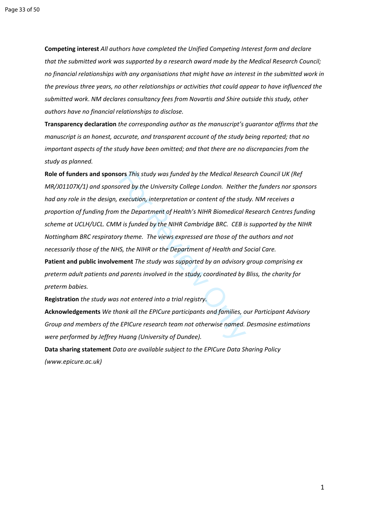**Competing interest** *All authors have completed the Unified Competing Interest form and declare that the submitted work was supported by a research award made by the Medical Research Council; no financial relationships with any organisations that might have an interest in the submitted work in the previous three years, no other relationships or activities that could appear to have influenced the submitted work*. *NM declares consultancy fees from Novartis and Shire outside this study, other authors have no financial relationships to disclose.*

**Transparency declaration** *the corresponding author as the manuscript's guarantor affirms that the manuscript is an honest, accurate, and transparent account of the study being reported; that no important aspects of the study have been omitted; and that there are no discrepancies from the study as planned.*

ors This study was funded by the Medical Reserved by the University College London. Neither<br>execution, interpretation or content of the studence execution, interpretation or content of the studence the<br>execution, interpret **Role of funders and sponsors** *This study was funded by the Medical Research Council UK (Ref MR/J01107X/1) and sponsored by the University College London. Neither the funders nor sponsors had any role in the design, execution, interpretation or content of the study. NM receives a proportion of funding from the Department of Health's NIHR Biomedical Research Centres funding scheme at UCLH/UCL. CMM is funded by the NIHR Cambridge BRC. CEB is supported by the NIHR Nottingham BRC respiratory theme. The views expressed are those of the authors and not necessarily those of the NHS, the NIHR or the Department of Health and Social Care.*

**Patient and public involvement** *The study was supported by an advisory group comprising ex preterm adult patients and parents involved in the study, coordinated by Bliss, the charity for preterm babies.* 

**Registration** *the study was not entered into a trial registry.*

**Acknowledgements** *We thank all the EPICure participants and families, our Participant Advisory Group and members of the EPICure research team not otherwise named. Desmosine estimations were performed by Jeffrey Huang (University of Dundee).*

**Data sharing statement** *Data are available subject to the EPICure Data Sharing Policy (www.epicure.ac.uk)*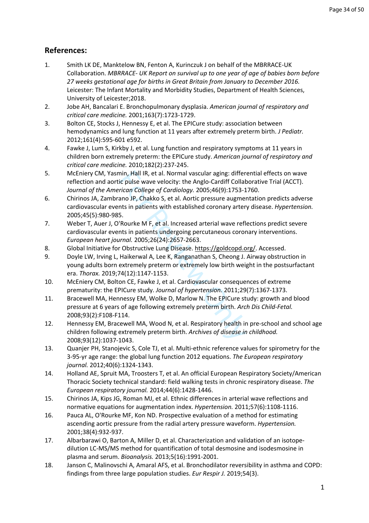# **References:**

- 1. Smith LK DE, Manktelow BN, Fenton A, Kurinczuk J on behalf of the MBRRACE-UK Collaboration. *MBRRACE- UK Report on survival up to one year of age of babies born before 27 weeks gestational age for births in Great Britain from January to December 2016.* Leicester: The Infant Mortality and Morbidity Studies, Department of Health Sciences, University of Leicester;2018.
- 2. Jobe AH, Bancalari E. Bronchopulmonary dysplasia. *American journal of respiratory and critical care medicine.* 2001;163(7):1723-1729.
- 3. Bolton CE, Stocks J, Hennessy E, et al. The EPICure study: association between hemodynamics and lung function at 11 years after extremely preterm birth. *J Pediatr.*  2012;161(4):595-601 e592.
- 4. Fawke J, Lum S, Kirkby J, et al. Lung function and respiratory symptoms at 11 years in children born extremely preterm: the EPICure study. *American journal of respiratory and critical care medicine.* 2010;182(2):237-245.
- 5. McEniery CM, Yasmin, Hall IR, et al. Normal vascular aging: differential effects on wave reflection and aortic pulse wave velocity: the Anglo-Cardiff Collaborative Trial (ACCT). *Journal of the American College of Cardiology.* 2005;46(9):1753-1760.
- 6. Chirinos JA, Zambrano JP, Chakko S, et al. Aortic pressure augmentation predicts adverse cardiovascular events in patients with established coronary artery disease. *Hypertension.*  2005;45(5):980-985.
- 7. Weber T, Auer J, O'Rourke M F, et al. Increased arterial wave reflections predict severe cardiovascular events in patients undergoing percutaneous coronary interventions. *European heart journal.* 2005;26(24):2657-2663.
- 8. Global Initiative for Obstructive Lung Disease. https://goldcopd.org/. Accessed.
- nin, Hall IR, et al. Normal vascular aging: differ<br>ic pulse wave velocity: the Anglo-Cardiff Collat<br>*rican College of Cardiology.* 2005;46(9):1753-1<br>ano JP, Chakko S, et al. Aortic pressure augments<br>in patients with establ 9. Doyle LW, Irving L, Haikerwal A, Lee K, Ranganathan S, Cheong J. Airway obstruction in young adults born extremely preterm or extremely low birth weight in the postsurfactant era. *Thorax.* 2019;74(12):1147-1153.
- 10. McEniery CM, Bolton CE, Fawke J, et al. Cardiovascular consequences of extreme prematurity: the EPICure study. *Journal of hypertension.* 2011;29(7):1367-1373.
- 11. Bracewell MA, Hennessy EM, Wolke D, Marlow N. The EPICure study: growth and blood pressure at 6 years of age following extremely preterm birth. *Arch Dis Child-Fetal.*  2008;93(2):F108-F114.
- 12. Hennessy EM, Bracewell MA, Wood N, et al. Respiratory health in pre-school and school age children following extremely preterm birth. *Archives of disease in childhood.*  2008;93(12):1037-1043.
- 13. Quanjer PH, Stanojevic S, Cole TJ, et al. Multi-ethnic reference values for spirometry for the 3-95-yr age range: the global lung function 2012 equations. *The European respiratory journal.* 2012;40(6):1324-1343.
- 14. Holland AE, Spruit MA, Troosters T, et al. An official European Respiratory Society/American Thoracic Society technical standard: field walking tests in chronic respiratory disease. *The European respiratory journal.* 2014;44(6):1428-1446.
- 15. Chirinos JA, Kips JG, Roman MJ, et al. Ethnic differences in arterial wave reflections and normative equations for augmentation index. *Hypertension.* 2011;57(6):1108-1116.
- 16. Pauca AL, O'Rourke MF, Kon ND. Prospective evaluation of a method for estimating ascending aortic pressure from the radial artery pressure waveform. *Hypertension.*  2001;38(4):932-937.
- 17. Albarbarawi O, Barton A, Miller D, et al. Characterization and validation of an isotopedilution LC-MS/MS method for quantification of total desmosine and isodesmosine in plasma and serum. *Bioanalysis.* 2013;5(16):1991-2001.
- 18. Janson C, Malinovschi A, Amaral AFS, et al. Bronchodilator reversibility in asthma and COPD: findings from three large population studies. *Eur Respir J.* 2019;54(3).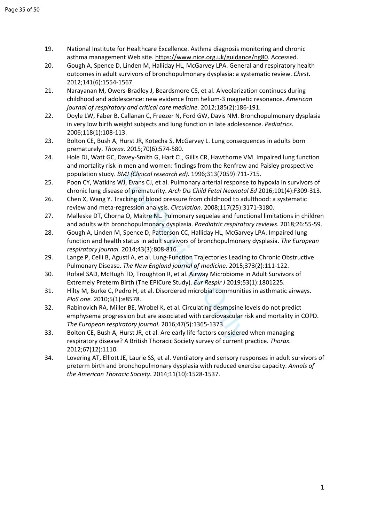- 19. National Institute for Healthcare Excellence. Asthma diagnosis monitoring and chronic asthma management Web site. [https://www.nice.org.uk/guidance/ng80.](https://www.nice.org.uk/guidance/ng80) Accessed.
- 20. Gough A, Spence D, Linden M, Halliday HL, McGarvey LPA. General and respiratory health outcomes in adult survivors of bronchopulmonary dysplasia: a systematic review. *Chest.*  2012;141(6):1554-1567.
- 21. Narayanan M, Owers-Bradley J, Beardsmore CS, et al. Alveolarization continues during childhood and adolescence: new evidence from helium-3 magnetic resonance. *American journal of respiratory and critical care medicine.* 2012;185(2):186-191.
- 22. Doyle LW, Faber B, Callanan C, Freezer N, Ford GW, Davis NM. Bronchopulmonary dysplasia in very low birth weight subjects and lung function in late adolescence. *Pediatrics.*  2006;118(1):108-113.
- 23. Bolton CE, Bush A, Hurst JR, Kotecha S, McGarvey L. Lung consequences in adults born prematurely. *Thorax.* 2015;70(6):574-580.
- 24. Hole DJ, Watt GC, Davey-Smith G, Hart CL, Gillis CR, Hawthorne VM. Impaired lung function and mortality risk in men and women: findings from the Renfrew and Paisley prospective population study. *BMJ (Clinical research ed).* 1996;313(7059):711-715.
- 25. Poon CY, Watkins WJ, Evans CJ, et al. Pulmonary arterial response to hypoxia in survivors of chronic lung disease of prematurity. *Arch Dis Child Fetal Neonatal Ed* 2016;101(4):F309-313.
- 26. Chen X, Wang Y. Tracking of blood pressure from childhood to adulthood: a systematic review and meta-regression analysis. *Circulation.* 2008;117(25):3171-3180.
- 27. Malleske DT, Chorna O, Maitre NL. Pulmonary sequelae and functional limitations in children and adults with bronchopulmonary dysplasia. *Paediatric respiratory reviews.* 2018;26:55-59.
- 28. Gough A, Linden M, Spence D, Patterson CC, Halliday HL, McGarvey LPA. Impaired lung function and health status in adult survivors of bronchopulmonary dysplasia. *The European respiratory journal.* 2014;43(3):808-816.
- 29. Lange P, Celli B, Agustí A, et al. Lung-Function Trajectories Leading to Chronic Obstructive Pulmonary Disease. *The New England journal of medicine.* 2015;373(2):111-122.
- 30. Rofael SAD, McHugh TD, Troughton R, et al. Airway Microbiome in Adult Survivors of Extremely Preterm Birth (The EPICure Study). *Eur Respir J* 2019;53(1):1801225.
- 31. Hilty M, Burke C, Pedro H, et al. Disordered microbial communities in asthmatic airways. *PloS one.* 2010;5(1):e8578.
- 3MJ (Clinical research ed). 1996;313(7059):711<br>NJ, Evans CJ, et al. Pulmonary arterial response<br>e of prematurity. Arch Dis Child Fetal Neonata<br>acking of blood pressure from childhood to ad<br>egression analysis. *Circulation* 32. Rabinovich RA, Miller BE, Wrobel K, et al. Circulating desmosine levels do not predict emphysema progression but are associated with cardiovascular risk and mortality in COPD. *The European respiratory journal.* 2016;47(5):1365-1373.
- 33. Bolton CE, Bush A, Hurst JR, et al. Are early life factors considered when managing respiratory disease? A British Thoracic Society survey of current practice. *Thorax.*  2012;67(12):1110.
- 34. Lovering AT, Elliott JE, Laurie SS, et al. Ventilatory and sensory responses in adult survivors of preterm birth and bronchopulmonary dysplasia with reduced exercise capacity. *Annals of the American Thoracic Society.* 2014;11(10):1528-1537.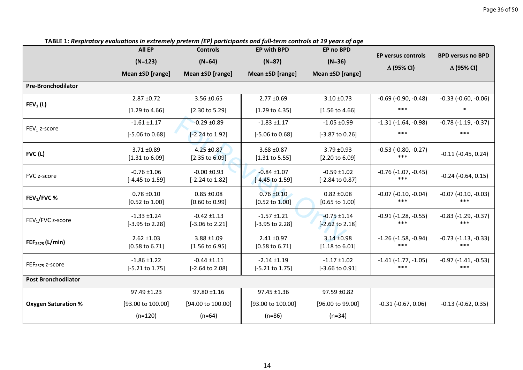| indee 1. http://www.community.community.com/help/processing.com/help/annova-informations-act-20-years-of-age- | <b>All EP</b>                                  | <b>Controls</b>                                | <b>EP with BPD</b>                             | <b>EP no BPD</b>                               |                                      |                                 |
|---------------------------------------------------------------------------------------------------------------|------------------------------------------------|------------------------------------------------|------------------------------------------------|------------------------------------------------|--------------------------------------|---------------------------------|
|                                                                                                               | $(N=123)$                                      | $(N=64)$                                       | $(N=87)$                                       | $(N=36)$                                       | <b>EP versus controls</b>            | <b>BPD versus no BPD</b>        |
|                                                                                                               | Mean ±SD [range]                               | Mean ±SD [range]                               | Mean ±SD [range]                               | Mean ±SD [range]                               | $\Delta$ (95% CI)                    | $\Delta$ (95% CI)               |
| <b>Pre-Bronchodilator</b>                                                                                     |                                                |                                                |                                                |                                                |                                      |                                 |
| $FEV1$ (L)                                                                                                    | $2.87 \pm 0.72$                                | $3.56 \pm 0.65$                                | $2.77 \pm 0.69$                                | $3.10 \pm 0.73$                                | $-0.69$ ( $-0.90$ , $-0.48$ )        | $-0.33$ $(-0.60, -0.06)$        |
|                                                                                                               | $[1.29 \text{ to } 4.66]$                      | [2.30 to 5.29]                                 | $[1.29 \text{ to } 4.35]$                      | $[1.56 \text{ to } 4.66]$                      | ***                                  | $\ast$                          |
|                                                                                                               | $-1.61 \pm 1.17$                               | $-0.29 \pm 0.89$                               | $-1.83 \pm 1.17$                               | $-1.05 + 0.99$                                 | $-1.31$ $(-1.64, -0.98)$             | $-0.78$ $(-1.19, -0.37)$        |
| $FEV1$ z-score                                                                                                | $[-5.06 \text{ to } 0.68]$                     | $[-2.24 \text{ to } 1.92]$                     | $[-5.06 \text{ to } 0.68]$                     | $[-3.87 \text{ to } 0.26]$                     | ***                                  | ***                             |
| $FVC$ (L)                                                                                                     | $3.71 \pm 0.89$                                | $4.25 \pm 0.87$                                | $3.68 \pm 0.87$                                | $3.79 \pm 0.93$                                | $-0.53$ $(-0.80, -0.27)$             | $-0.11$ $(-0.45, 0.24)$         |
|                                                                                                               | $[1.31 \text{ to } 6.09]$                      | $[2.35 \text{ to } 6.09]$                      | $[1.31 \text{ to } 5.55]$                      | $[2.20 \text{ to } 6.09]$                      | ***                                  |                                 |
| FVC z-score                                                                                                   | $-0.76 \pm 1.06$                               | $-0.00 + 0.93$                                 | $-0.84 \pm 1.07$                               | $-0.59 \pm 1.02$                               | $-0.76$ ( $-1.07$ , $-0.45$ )<br>*** | $-0.24$ $(-0.64, 0.15)$         |
|                                                                                                               | $[-4.45 \text{ to } 1.59]$                     | [-2.24 to 1.82]                                | $[-4.45 \text{ to } 1.59]$                     | $[-2.84 \text{ to } 0.87]$                     |                                      |                                 |
| $FEV1/FVC$ %                                                                                                  | $0.78 \pm 0.10$<br>$[0.52 \text{ to } 1.00]$   | $0.85 \pm 0.08$<br>$[0.60 \text{ to } 0.99]$   | $0.76 \pm 0.10$<br>$[0.52 \text{ to } 1.00]$   | $0.82 \pm 0.08$<br>$[0.65 \text{ to } 1.00]$   | $-0.07$ $(-0.10, -0.04)$<br>***      | $-0.07$ $(-0.10, -0.03)$<br>*** |
|                                                                                                               |                                                |                                                |                                                |                                                |                                      |                                 |
| FEV <sub>1</sub> /FVC z-score                                                                                 | $-1.33 \pm 1.24$<br>$[-3.95 \text{ to } 2.28]$ | $-0.42 \pm 1.13$<br>$[-3.06 \text{ to } 2.21]$ | $-1.57 \pm 1.21$<br>$[-3.95 \text{ to } 2.28]$ | $-0.75 \pm 1.14$<br>$[-2.62 \text{ to } 2.18]$ | $-0.91$ ( $-1.28$ , $-0.55$ )<br>*** | $-0.83$ $(-1.29, -0.37)$<br>*** |
|                                                                                                               |                                                |                                                |                                                |                                                |                                      |                                 |
| FEF <sub>2575</sub> (L/min)                                                                                   | $2.62 \pm 1.03$                                | $3.88 \pm 1.09$                                | $2.41 \pm 0.97$                                | $3.14 \pm 0.98$                                | $-1.26$ ( $-1.58$ , $-0.94$ )<br>*** | $-0.73$ $(-1.13, -0.33)$<br>*** |
|                                                                                                               | $[0.58 \text{ to } 6.71]$                      | $[1.56 \text{ to } 6.95]$                      | $[0.58 \text{ to } 6.71]$                      | $[1.18 \text{ to } 6.01]$                      |                                      |                                 |
| FEF <sub>2575</sub> z-score                                                                                   | $-1.86 \pm 1.22$                               | $-0.44 \pm 1.11$                               | $-2.14 \pm 1.19$                               | $-1.17 \pm 1.02$                               | $-1.41$ $(-1.77, -1.05)$<br>***      | $-0.97$ $(-1.41, -0.53)$<br>*** |
|                                                                                                               | $[-5.21 \text{ to } 1.75]$                     | $[-2.64 \text{ to } 2.08]$                     | $[-5.21 \text{ to } 1.75]$                     | $[-3.66 \text{ to } 0.91]$                     |                                      |                                 |
| <b>Post Bronchodilator</b>                                                                                    |                                                |                                                |                                                |                                                |                                      |                                 |
|                                                                                                               | 97.49 ±1.23                                    | 97.80 ±1.16                                    | $97.45 \pm 1.36$                               | $97.59 \pm 0.82$                               |                                      |                                 |
| <b>Oxygen Saturation %</b>                                                                                    | [93.00 to 100.00]                              | [94.00 to 100.00]                              | [93.00 to 100.00]                              | $[96.00 \text{ to } 99.00]$                    | $-0.31$ $(-0.67, 0.06)$              | $-0.13$ $(-0.62, 0.35)$         |
|                                                                                                               | $(n=120)$                                      | $(n=64)$                                       | $(n=86)$                                       | $(n=34)$                                       |                                      |                                 |

**TABLE 1:** *Respiratory evaluations in extremely preterm (EP) participants and full-term controls at 19 years of age*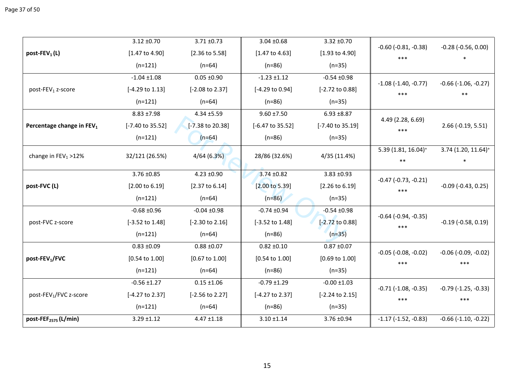|                                       | $3.12 \pm 0.70$           | $3.71 \pm 0.73$            | $3.04 \pm 0.68$           | $3.32 \pm 0.70$                                    |                                   |                                 |
|---------------------------------------|---------------------------|----------------------------|---------------------------|----------------------------------------------------|-----------------------------------|---------------------------------|
| post-FEV <sub>1</sub> (L)             | $[1.47 \text{ to } 4.90]$ | $[2.36 \text{ to } 5.58]$  | $[1.47 \text{ to } 4.63]$ | $[1.93 \text{ to } 4.90]$                          | $-0.60$ $(-0.81, -0.38)$<br>$***$ | $-0.28$ ( $-0.56$ , $0.00$ )    |
|                                       | $(n=121)$                 | $(n=64)$                   | $(n=86)$                  | $(n=35)$                                           |                                   |                                 |
|                                       | $-1.04 \pm 1.08$          | $0.05 \pm 0.90$            | $-1.23 \pm 1.12$          | $-0.54 + 0.98$                                     | $-1.08$ $(-1.40, -0.77)$          | $-0.66$ $(-1.06, -0.27)$        |
| post-FEV <sub>1</sub> z-score         | [-4.29 to 1.13]           | [-2.08 to 2.37]            | [-4.29 to 0.94]           | [-2.72 to 0.88]                                    | ***                               | **                              |
|                                       | $(n=121)$                 | $(n=64)$                   | $(n=86)$                  | $(n=35)$                                           |                                   |                                 |
|                                       | $8.83 \pm 7.98$           | $4.34 \pm 5.59$            | $9.60 \pm 7.50$           | $6.93 \pm 8.87$                                    | 4.49 (2.28, 6.69)                 |                                 |
| Percentage change in FEV <sub>1</sub> | [-7.40 to 35.52]          | [-7.38 to 20.38]           | [-6.47 to 35.52]          | [-7.40 to 35.19]                                   | ***                               | $2.66$ (-0.19, 5.51)            |
|                                       | $(n=121)$                 | $(n=64)$                   | $(n=86)$                  | $(n=35)$                                           |                                   |                                 |
| change in $FEV_1 > 12\%$              | 32/121 (26.5%)            | 4/64(6.3%)                 | 28/86 (32.6%)             | 4/35 (11.4%)                                       | 5.39 (1.81, 16.04) <sup>+</sup>   | 3.74 (1.20, 11.64) <sup>+</sup> |
|                                       |                           |                            |                           |                                                    | $***$                             |                                 |
|                                       | $3.76 \pm 0.85$           | $4.23 \pm 0.90$            | $3.74 \pm 0.82$           | $3.83 \pm 0.93$                                    | $-0.47$ $(-0.73, -0.21)$          |                                 |
| post-FVC (L)                          | $[2.00 \text{ to } 6.19]$ | $[2.37 \text{ to } 6.14]$  | $[2.00 \text{ to } 5.39]$ | $[2.26 \text{ to } 6.19]$                          | ***                               | $-0.09$ $(-0.43, 0.25)$         |
|                                       | $(n=121)$                 | $(n=64)$                   | $(n=86)$                  | $(n=35)$                                           |                                   |                                 |
|                                       | $-0.68 + 0.96$            | $-0.04 \pm 0.98$           | $-0.74 \pm 0.94$          | $-0.54 + 0.98$                                     | $-0.64$ ( $-0.94$ , $-0.35$ )     |                                 |
| post-FVC z-score                      | [-3.52 to 1.48]           | $[-2.30 \text{ to } 2.16]$ | [-3.52 to 1.48]           | $[-2.72]$ to 0.88]                                 | ***                               | $-0.19$ $(-0.58, 0.19)$         |
|                                       | $(n=121)$                 | $(n=64)$                   | $(n=86)$                  | $(n=35)$                                           |                                   |                                 |
|                                       | $0.83 \pm 0.09$           | $0.88 \pm 0.07$            | $0.82 \pm 0.10$           | $0.87 + 0.07$                                      | $-0.05$ ( $-0.08$ , $-0.02$ )     | $-0.06$ ( $-0.09$ , $-0.02$ )   |
| post-FEV <sub>1</sub> /FVC            | $[0.54 \text{ to } 1.00]$ | $[0.67 \text{ to } 1.00]$  | $[0.54 \text{ to } 1.00]$ | $[0.69 \text{ to } 1.00]$                          | ***                               | ***                             |
|                                       | $(n=121)$                 | $(n=64)$                   | $(n=86)$                  | $(n=35)$                                           |                                   |                                 |
|                                       | $-0.56 \pm 1.27$          | $0.15 \pm 1.06$            | $-0.79 + 1.29$            | $-0.00 \pm 1.03$                                   |                                   | $-0.79$ $(-1.25, -0.33)$        |
| post-FEV <sub>1</sub> /FVC z-score    | [-4.27 to 2.37]           |                            | [-4.27 to 2.37]           | $-0.71$ $(-1.08, -0.35)$<br>[-2.24 to 2.15]<br>*** |                                   | ***                             |
|                                       | $(n=121)$                 | $(n=64)$                   | $(n=86)$                  | $(n=35)$                                           |                                   |                                 |
| post-FEF <sub>2575</sub> (L/min)      | $3.29 \pm 1.12$           | $4.47 \pm 1.18$            | $3.10 \pm 1.14$           | 3.76 ±0.94                                         | $-1.17$ $(-1.52, -0.83)$          | $-0.66$ $(-1.10, -0.22)$        |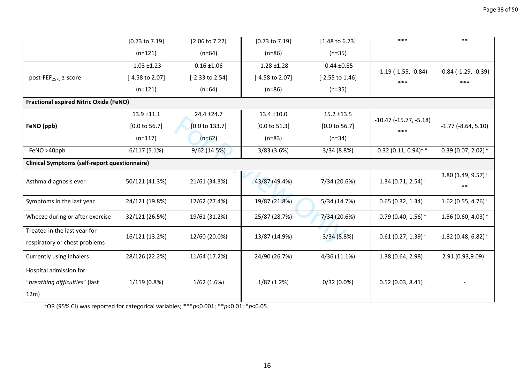|                                                      | $[0.73 \text{ to } 7.19]$  | [2.06 to 7.22]             | $[0.73 \text{ to } 7.19]$  | $[1.48 \text{ to } 6.73]$  | ***                                    | $***$                                    |
|------------------------------------------------------|----------------------------|----------------------------|----------------------------|----------------------------|----------------------------------------|------------------------------------------|
|                                                      | $(n=121)$                  | $(n=64)$                   | $(n=86)$                   | $(n=35)$                   |                                        |                                          |
|                                                      | $-1.03 \pm 1.23$           | $0.16 \pm 1.06$            | $-1.28 \pm 1.28$           | $-0.44 \pm 0.85$           | $-1.19$ ( $-1.55$ , $-0.84$ )          | $-0.84$ ( $-1.29$ , $-0.39$ )            |
| post-FEF <sub>2575</sub> z-score                     | $[-4.58 \text{ to } 2.07]$ | $[-2.33 \text{ to } 2.54]$ | $[-4.58 \text{ to } 2.07]$ | $[-2.55 \text{ to } 1.46]$ | ***                                    | ***                                      |
|                                                      | $(n=121)$                  | $(n=64)$                   | $(n=86)$                   | $(n=35)$                   |                                        |                                          |
| <b>Fractional expired Nitric Oxide (FeNO)</b>        |                            |                            |                            |                            |                                        |                                          |
|                                                      | 13.9 ±11.1                 | 24.4 ± 24.7                | $13.4 \pm 10.0$            | $15.2 \pm 13.5$            |                                        |                                          |
| FeNO (ppb)                                           | $[0.0 \text{ to } 56.7]$   | $[0.0 \text{ to } 133.7]$  | $[0.0 \text{ to } 51.3]$   | $[0.0 \text{ to } 56.7]$   | $-10.47$ ( $-15.77$ , $-5.18$ )<br>*** | $-1.77$ ( $-8.64$ , 5.10)                |
|                                                      | $(n=117)$                  | $(n=62)$                   | $(n=83)$                   | $(n=34)$                   |                                        |                                          |
| FeNO >40ppb                                          | 6/117(5.1%)                | 9/62 (14.5%)               | 3/83 (3.6%)                | 3/34 (8.8%)                | $0.32$ (0.11, 0.94) <sup>+*</sup>      | $0.39(0.07, 2.02)^+$                     |
| <b>Clinical Symptoms (self-report questionnaire)</b> |                            |                            |                            |                            |                                        |                                          |
| Asthma diagnosis ever                                | 50/121 (41.3%)             | 21/61 (34.3%)              | 43/87 (49.4%)              | 7/34 (20.6%)               | $1.34(0.71, 2.54)$ <sup>+</sup>        | $3.80(1.49, 9.57)$ <sup>+</sup><br>$***$ |
| Symptoms in the last year                            | 24/121 (19.8%)             | 17/62 (27.4%)              | 19/87 (21.8%)              | 5/34 (14.7%)               | $0.65(0.32, 1.34)$ <sup>+</sup>        | $1.62$ (0.55, 4.76) <sup>+</sup>         |
| Wheeze during or after exercise                      | 32/121 (26.5%)             | 19/61 (31.2%)              | 25/87 (28.7%)              | 7/34 (20.6%)               | $0.79(0.40, 1.56)^+$                   | $1.56(0.60, 4.03)$ <sup>+</sup>          |
| Treated in the last year for                         | 16/121 (13.2%)             | 12/60 (20.0%)              | 13/87 (14.9%)              | 3/34(8.8%)                 | $0.61(0.27, 1.39)$ <sup>+</sup>        | $1.82$ (0.48, 6.82) <sup>+</sup>         |
| respiratory or chest problems                        |                            |                            |                            |                            |                                        |                                          |
| Currently using inhalers                             | 28/126 (22.2%)             | 11/64 (17.2%)              | 24/90 (26.7%)              | 4/36 (11.1%)               | $1.38(0.64, 2.98)^+$                   | $2.91(0.93, 9.09)^+$                     |
| Hospital admission for                               |                            |                            |                            |                            |                                        |                                          |
| "breathing difficulties" (last                       | 1/119 (0.8%)               | 1/62(1.6%)                 | 1/87(1.2%)                 | 0/32(0.0%)                 | $0.52$ (0.03, 8.41) <sup>+</sup>       |                                          |
| 12m)                                                 |                            |                            |                            |                            |                                        |                                          |

<sup>+</sup>OR (95% CI) was reported for categorical variables; \*\*\**p*<0.001; \*\**p*<0.01; \**p*<0.05.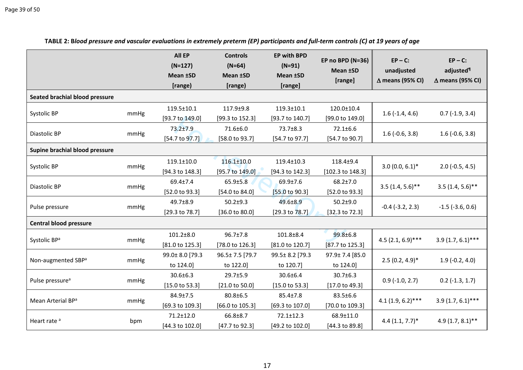|                                |      | <b>All EP</b><br>$(N=127)$<br>Mean ±SD<br>[range) | <b>Controls</b><br>$(N=64)$<br>Mean ±SD<br>[range) | <b>EP with BPD</b><br>$(N=91)$<br><b>Mean ±SD</b><br>[range] | EP no BPD ( $N=36$ )<br>Mean ±SD<br>[range] | $EP - C$ :<br>unadjusted<br>$\Delta$ means (95% CI) | $EP - C$ :<br>adjusted <sup>1</sup><br>$\Delta$ means (95% CI) |
|--------------------------------|------|---------------------------------------------------|----------------------------------------------------|--------------------------------------------------------------|---------------------------------------------|-----------------------------------------------------|----------------------------------------------------------------|
| Seated brachial blood pressure |      |                                                   |                                                    |                                                              |                                             |                                                     |                                                                |
| Systolic BP                    | mmHg | 119.5±10.1<br>[93.7 to 149.0]                     | 117.9±9.8<br>[99.3 to 152.3]                       | $119.3 \pm 10.1$<br>[93.7 to 140.7]                          | 120.0±10.4<br>[99.0 to 149.0]               | $1.6$ (-1.4, 4.6)                                   | $0.7$ (-1.9, 3.4)                                              |
| Diastolic BP                   | mmHg | $73.2 \pm 7.9$<br>$[54.7 \text{ to } 97.7]$       | 71.6±6.0<br>[58.0 to 93.7]                         | 73.7±8.3<br>[54.7 to 97.7]                                   | $72.1 \pm 6.6$<br>[54.7 to 90.7]            | $1.6$ (-0.6, 3.8)                                   | $1.6$ (-0.6, 3.8)                                              |
| Supine brachial blood pressure |      |                                                   |                                                    |                                                              |                                             |                                                     |                                                                |
| Systolic BP                    | mmHg | $119.1 \pm 10.0$<br>[94.3 to 148.3]               | $116.1 \pm 10.0$<br>[95.7 to 149.0]                | 119.4±10.3<br>[94.3 to 142.3]                                | 118.4±9.4<br>$[102.3 \text{ to } 148.3]$    | $3.0(0.0, 6.1)$ *                                   | $2.0$ (-0.5, 4.5)                                              |
| Diastolic BP                   | mmHg | 69.4±7.4<br>[52.0 to 93.3]                        | $65.9{\pm}5.8$<br>[54.0 to 84.0]                   | 69.9±7.6<br>$[55.0 \text{ to } 90.3]$                        | $68.2{\pm}7.0$<br>[52.0 to 93.3]            | $3.5(1.4, 5.6)$ **                                  | $3.5(1.4, 5.6)$ **                                             |
| Pulse pressure                 | mmHg | 49.7±8.9<br>[29.3 to 78.7]                        | $50.2 \pm 9.3$<br>$[36.0 \text{ to } 80.0]$        | 49.6±8.9<br>$[29.3 \text{ to } 78.7]$                        | $50.2{\pm}9.0$<br>[32.3 to 72.3]            | $-0.4$ $(-3.2, 2.3)$                                | $-1.5$ ( $-3.6$ , 0.6)                                         |
| <b>Central blood pressure</b>  |      |                                                   |                                                    |                                                              |                                             |                                                     |                                                                |
| Systolic BP <sup>a</sup>       | mmHg | $101.2 \pm 8.0$<br>$[81.0 \text{ to } 125.3]$     | $96.7 \pm 7.8$<br>[78.0 to 126.3]                  | 101.8±8.4<br>[81.0 to 120.7]                                 | 99.8±6.8<br>[87.7 to 125.3]                 | $4.5(2.1, 6.9)$ ***                                 | $3.9(1.7, 6.1)$ ***                                            |
| Non-augmented SBP <sup>a</sup> | mmHg | 99.0± 8.0 [79.3<br>to 124.0]                      | 96.5± 7.5 [79.7<br>to 122.0]                       | 99.5±8.2 [79.3<br>to 120.7]                                  | 97.9± 7.4 [85.0<br>to 124.0]                | $2.5(0.2, 4.9)$ *                                   | $1.9$ (-0.2, 4.0)                                              |
| Pulse pressure <sup>a</sup>    | mmHg | $30.6 \pm 6.3$<br>$[15.0 \text{ to } 53.3]$       | $29.7 \pm 5.9$<br>$[21.0 \text{ to } 50.0]$        | 30.6±6.4<br>$[15.0 \text{ to } 53.3]$                        | $30.7 \pm 6.3$<br>$[17.0 \text{ to } 49.3]$ | $0.9$ (-1.0, 2.7)                                   | $0.2$ (-1.3, 1.7)                                              |
| Mean Arterial BP <sup>a</sup>  | mmHg | 84.9±7.5<br>[69.3 to 109.3]                       | $80.8 \pm 6.5$<br>$[66.0 \text{ to } 105.3]$       | $85.4{\pm}7.8$<br>[69.3 to 107.0]                            | 83.5±6.6<br>[70.0 to 109.3]                 | $4.1(1.9, 6.2)$ ***                                 | $3.9(1.7, 6.1)$ ***                                            |
| Heart rate <sup>a</sup>        | bpm  | 71.2±12.0<br>[44.3 to 102.0]                      | 66.8±8.7<br>[47.7 to 92.3]                         | 72.1±12.3<br>[49.2 to 102.0]                                 | 68.9±11.0<br>[44.3 to 89.8]                 | $4.4(1.1, 7.7)*$                                    | 4.9 $(1.7, 8.1)$ **                                            |

# **TABLE 2: B***lood pressure and vascular evaluations in extremely preterm (EP) participants and full-term controls (C) at 19 years of age*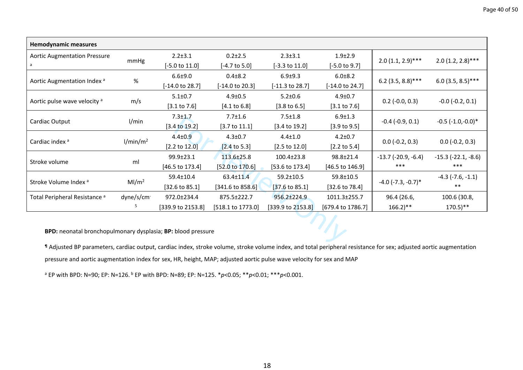| <b>Hemodynamic measures</b>                                  |                        |                            |                             |                            |                            |                              |                            |
|--------------------------------------------------------------|------------------------|----------------------------|-----------------------------|----------------------------|----------------------------|------------------------------|----------------------------|
| <b>Aortic Augmentation Pressure</b>                          |                        | $2.2 + 3.1$                | $0.2 + 2.5$                 | $2.3 \pm 3.1$              | $1.9 + 2.9$                |                              |                            |
|                                                              | mmHg                   | $[-5.0 \text{ to } 11.0]$  | $[-4.7 \text{ to } 5.0]$    | $[-3.3 \text{ to } 11.0]$  | $[-5.0 \text{ to } 9.7]$   | $2.0(1.1, 2.9)$ ***          | $2.0(1.2, 2.8)$ ***        |
|                                                              | %                      | $6.6 + 9.0$                | $0.4 + 8.2$                 | $6.9 + 9.3$                | $6.0 \pm 8.2$              |                              |                            |
| Aortic Augmentation Index <sup>a</sup>                       |                        | $[-14.0 \text{ to } 28.7]$ | $[-14.0 \text{ to } 20.3]$  | $[-11.3 \text{ to } 28.7]$ | $[-14.0 \text{ to } 24.7]$ | $6.2$ (3.5, 8.8)***          | $6.0(3.5, 8.5)$ ***        |
| Aortic pulse wave velocity <sup>a</sup>                      |                        | $5.1 \pm 0.7$              | $4.9 \pm 0.5$               | $5.2 \pm 0.6$              | $4.9 + 0.7$                |                              |                            |
|                                                              | m/s                    | $[3.1 \text{ to } 7.6]$    | $[4.1 \text{ to } 6.8]$     | $[3.8 \text{ to } 6.5]$    | $[3.1 \text{ to } 7.6]$    | $0.2$ (-0.0, 0.3)            | $-0.0$ $(-0.2, 0.1)$       |
|                                                              |                        | $7.3 + 1.7$                | $7.7 \pm 1.6$               | $7.5 \pm 1.8$              | $6.9 \pm 1.3$              |                              |                            |
| Cardiac Output                                               | I/min                  | $[3.4 \text{ to } 19.2]$   | $[3.7 \text{ to } 11.1]$    | $[3.4 \text{ to } 19.2]$   | $[3.9 \text{ to } 9.5]$    | $-0.4$ $(-0.9, 0.1)$         | $-0.5$ ( $-1.0, -0.0$ )*   |
|                                                              | 1/min/m <sup>2</sup>   | $4.4 \pm 0.9$              | $4.3 \pm 0.7$               | $4.4 \pm 1.0$              | $4.2 \pm 0.7$              |                              | $0.0$ (-0.2, 0.3)          |
| Cardiac index <sup>a</sup>                                   |                        | $[2.2 \text{ to } 12.0]$   | $[2.4 \text{ to } 5.3]$     | $[2.5 \text{ to } 12.0]$   | $[2.2 \text{ to } 5.4]$    | $0.0$ (-0.2, 0.3)            |                            |
|                                                              |                        | 99.9±23.1                  | 113.6±25.8                  | $100.4 \pm 23.8$           | 98.8±21.4                  | $-13.7$ ( $-20.9$ , $-6.4$ ) | $-15.3$ $(-22.1, -8.6)$    |
| Stroke volume                                                | ml                     | $[46.5 \text{ to } 173.4]$ | $[52.0 \text{ to } 170.6]$  | [53.6 to 173.4]            | $[46.5 \text{ to } 146.9]$ | ***                          | ***                        |
|                                                              |                        | 59.4±10.4                  | 63.4±11.4                   | $59.2 \pm 10.5$            | 59.8±10.5                  |                              | $-4.3$ ( $-7.6$ , $-1.1$ ) |
| Stroke Volume Index <sup>a</sup>                             | M/m <sup>2</sup>       | $[32.6 \text{ to } 85.1]$  | $[341.6 \text{ to } 858.6]$ | $[37.6 \text{ to } 85.1]$  | $[32.6 \text{ to } 78.4]$  | $-4.0$ ( $-7.3$ , $-0.7$ )*  | $***$                      |
| Total Peripheral Resistance <sup>a</sup>                     | dyne/s/cm <sup>-</sup> | 972.0±234.4                | 875.5±222.7                 | 956.2±224.9                | 1011.3±255.7               | 96.4 (26.6,                  | 100.6 (30.8,               |
|                                                              | 5                      | [339.9 to 2153.8]          | [518.1 to 1773.0]           | [339.9 to 2153.8]          | [679.4 to 1786.7]          | $166.2$ <sup>**</sup>        | $170.5$ <sup>**</sup>      |
| BPD: neonatal bronchopulmonary dysplasia; BP: blood pressure |                        |                            |                             |                            |                            |                              |                            |

**¶** Adjusted BP parameters, cardiac output, cardiac index, stroke volume, stroke volume index, and total peripheral resistance for sex; adjusted aortic augmentation pressure and aortic augmentation index for sex, HR, height, MAP; adjusted aortic pulse wave velocity for sex and MAP

<sup>a</sup> EP with BPD: N=90; EP: N=126.<sup>b</sup> EP with BPD: N=89; EP: N=125. \*p<0.05; \*\*p<0.01; \*\*\*p<0.001.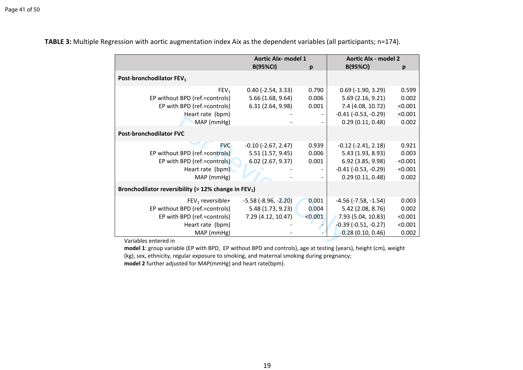|                                                        | <b>Aortic Alx- model 1</b>    |         | Aortic Alx - model 2          |         |
|--------------------------------------------------------|-------------------------------|---------|-------------------------------|---------|
|                                                        | <b>B(95%CI)</b>               | p       | <b>B(95%CI)</b>               | p       |
| Post-bronchodilator FEV <sub>1</sub>                   |                               |         |                               |         |
| FEV <sub>1</sub>                                       | $0.40$ (-2.54, 3.33)          | 0.790   | $0.69$ (-1.90, 3.29)          | 0.599   |
| EP without BPD (ref.=controls)                         | 5.66 (1.68, 9.64)             | 0.006   | 5.69 (2.16, 9.21)             | 0.002   |
| EP with BPD (ref.=controls)                            | 6.31 (2.64, 9.98)             | 0.001   | 7.4 (4.08, 10.72)             | < 0.001 |
| Heart rate (bpm)                                       |                               |         | $-0.41$ ( $-0.53$ , $-0.29$ ) | < 0.001 |
| MAP (mmHg)                                             |                               |         | 0.29(0.11, 0.48)              | 0.002   |
| <b>Post-bronchodilator FVC</b>                         |                               |         |                               |         |
| <b>FVC</b>                                             | $-0.10$ $(-2.67, 2.47)$       | 0.939   | $-0.12$ $(-2.41, 2.18)$       | 0.921   |
| EP without BPD (ref.=controls)                         | 5.51 (1.57, 9.45)             | 0.006   | 5.43 (1.93, 8.93)             | 0.003   |
| EP with BPD (ref.=controls)                            | 6.02 (2.67, 9.37)             | 0.001   | 6.92 (3.85, 9.98)             | < 0.001 |
| Heart rate (bpm)                                       |                               |         | $-0.41$ $(-0.53, -0.29)$      | < 0.001 |
| MAP (mmHg)                                             |                               |         | 0.29(0.11, 0.48)              | 0.002   |
| Bronchodilator reversibility (> 12% change in $FEV1$ ) |                               |         |                               |         |
| $FEV1$ reversible+                                     | $-5.58$ ( $-8.96$ , $-2.20$ ) | 0.001   | $-4.56$ ( $-7.58$ , $-1.54$ ) | 0.003   |
| EP without BPD (ref.=controls)                         | 5.48 (1.73, 9.23)             | 0.004   | 5.42 (2.08, 8.76)             | 0.002   |
| EP with BPD (ref.=controls)                            | 7.29 (4.12, 10.47)            | < 0.001 | 7.93 (5.04, 10.83)            | < 0.001 |
| Heart rate (bpm)                                       |                               |         | $-0.39$ ( $-0.51$ , $-0.27$ ) | < 0.001 |
| MAP (mmHg)                                             |                               |         | 0.28(0.10, 0.46)              | 0.002   |

**TABLE 3:** Multiple Regression with aortic augmentation index Aix as the dependent variables (all participants; n=174).

**model 1**: group variable (EP with BPD, EP without BPD and controls), age at testing (years), height (cm), weight (kg), sex, ethnicity, regular exposure to smoking, and maternal smoking during pregnancy; **model 2** further adjusted for MAP(mmHg) and heart rate(bpm).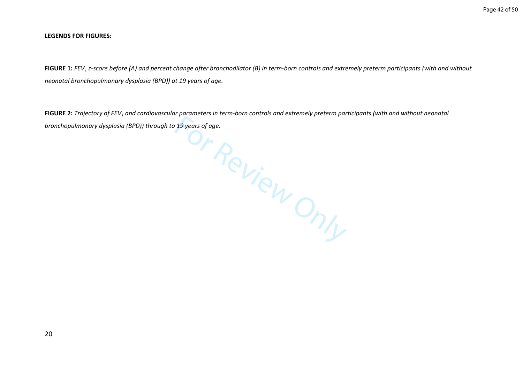#### **LEGENDS FOR FIGURES:**

**FIGURE 1:** *FEV1 z-score before (A) and percent change after bronchodilator (B) in term-born controls and extremely preterm participants (with and without neonatal bronchopulmonary dysplasia (BPD)) at 19 years of age.*

ers in te...<br>Or Review Only **FIGURE 2:** *Trajectory of FEV1 and cardiovascular parameters in term-born controls and extremely preterm participants (with and without neonatal bronchopulmonary dysplasia (BPD)) through to 19 years of age.*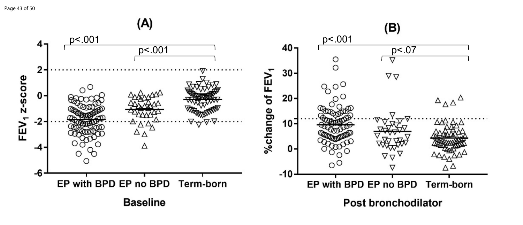Page 43 of 50

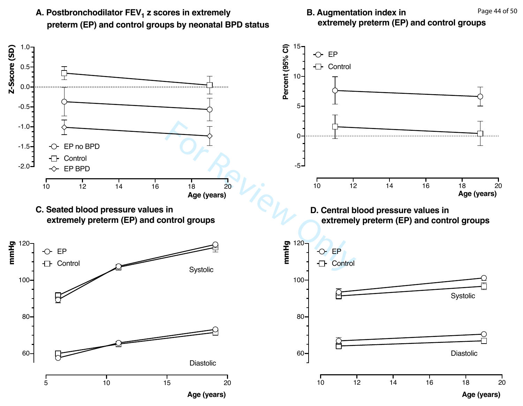

# A. Postbronchodilator FEV<sub>1</sub> z scores in extremely  **preterm (EP) and control groups by neonatal BPD status**

**B. Augmentation index in extremely preterm (EP) and control groups**

Page 44 of 50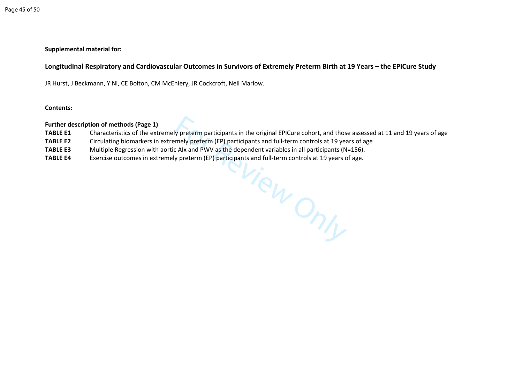### **Supplemental material for:**

# **Longitudinal Respiratory and Cardiovascular Outcomes in Survivors of Extremely Preterm Birth at 19 Years – the EPICure Study**

JR Hurst, J Beckmann, Y Ni, CE Bolton, CM McEniery, JR Cockcroft, Neil Marlow.

## **Contents:**

### **Further description of methods (Page 1)**

- **TABLE E1** Characteristics of the extremely preterm participants in the original EPICure cohort, and those assessed at 11 and 19 years of age
- **TABLE E2** Circulating biomarkers in extremely preterm (EP) participants and full-term controls at 19 years of age
- **TABLE E3** Multiple Regression with aortic AIx and PWV as the dependent variables in all participants (N=156).
- **TABLE E4** Exercise outcomes in extremely preterm (EP) participants and full-term controls at 19 years of age.

View Only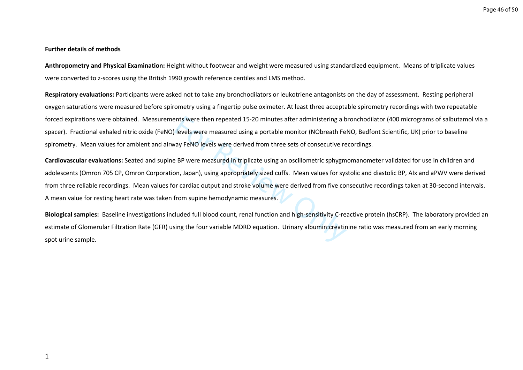#### **Further details of methods**

**Anthropometry and Physical Examination:** Height without footwear and weight were measured using standardized equipment. Means of triplicate values were converted to z-scores using the British 1990 growth reference centiles and LMS method.

**Respiratory evaluations:** Participants were asked not to take any bronchodilators or leukotriene antagonists on the day of assessment. Resting peripheral oxygen saturations were measured before spirometry using a fingertip pulse oximeter. At least three acceptable spirometry recordings with two repeatable forced expirations were obtained. Measurements were then repeated 15-20 minutes after administering a bronchodilator (400 micrograms of salbutamol via a spacer). Fractional exhaled nitric oxide (FeNO) levels were measured using a portable monitor (NObreath FeNO, Bedfont Scientific, UK) prior to baseline spirometry. Mean values for ambient and airway FeNO levels were derived from three sets of consecutive recordings.

ents were then repeated 15-20 minutes after administering a b<br>levels were measured using a portable monitor (NObreath Fe<br>vay FeNO levels were derived from three sets of consecutive re<br>P. BP were measured in triplicate usin **Cardiovascular evaluations:** Seated and supine BP were measured in triplicate using an oscillometric sphygmomanometer validated for use in children and adolescents (Omron 705 CP, Omron Corporation, Japan), using appropriately sized cuffs. Mean values for systolic and diastolic BP, AIx and aPWV were derived from three reliable recordings. Mean values for cardiac output and stroke volume were derived from five consecutive recordings taken at 30-second intervals. A mean value for resting heart rate was taken from supine hemodynamic measures.

**Biological samples:** Baseline investigations included full blood count, renal function and high-sensitivity C-reactive protein (hsCRP). The laboratory provided an estimate of Glomerular Filtration Rate (GFR) using the four variable MDRD equation. Urinary albumin:creatinine ratio was measured from an early morning spot urine sample.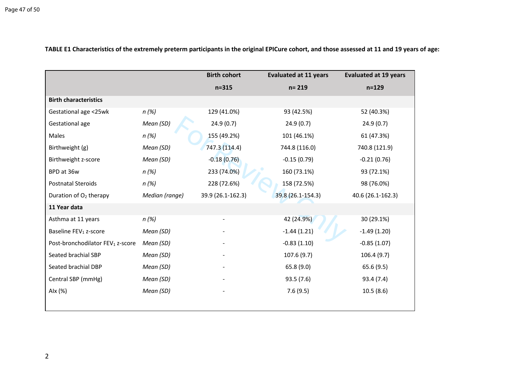|                                    |                | <b>Birth cohort</b> | <b>Evaluated at 11 years</b> | <b>Evaluated at 19 years</b> |
|------------------------------------|----------------|---------------------|------------------------------|------------------------------|
|                                    |                | $n = 315$           | $n = 219$                    | $n = 129$                    |
| <b>Birth characteristics</b>       |                |                     |                              |                              |
| Gestational age <25wk              | n (%)          | 129 (41.0%)         | 93 (42.5%)                   | 52 (40.3%)                   |
| Gestational age                    | Mean (SD)      | 24.9 (0.7)          | 24.9(0.7)                    | 24.9(0.7)                    |
| Males                              | n (%)          | 155 (49.2%)         | 101 (46.1%)                  | 61 (47.3%)                   |
| Birthweight (g)                    | Mean (SD)      | 747.3 (114.4)       | 744.8 (116.0)                | 740.8 (121.9)                |
| Birthweight z-score                | Mean (SD)      | $-0.18(0.76)$       | $-0.15(0.79)$                | $-0.21(0.76)$                |
| BPD at 36w                         | n(%)           | 233 (74.0%)         | 160 (73.1%)                  | 93 (72.1%)                   |
| <b>Postnatal Steroids</b>          | $n(\%)$        | 228 (72.6%)         | 158 (72.5%)                  | 98 (76.0%)                   |
| Duration of O <sub>2</sub> therapy | Median (range) | 39.9 (26.1-162.3)   | 39.8 (26.1-154.3)            | 40.6 (26.1-162.3)            |
| 11 Year data                       |                |                     |                              |                              |
| Asthma at 11 years                 | $n(\%)$        |                     | 42 (24.9%)                   | 30 (29.1%)                   |
| Baseline FEV <sub>1</sub> z-score  | Mean (SD)      |                     | $-1.44(1.21)$                | $-1.49(1.20)$                |
| Post-bronchodilator FEV1 z-score   | Mean (SD)      |                     | $-0.83(1.10)$                | $-0.85(1.07)$                |
| Seated brachial SBP                | Mean (SD)      |                     | 107.6 (9.7)                  | 106.4(9.7)                   |
| Seated brachial DBP                | Mean (SD)      |                     | 65.8(9.0)                    | 65.6(9.5)                    |
| Central SBP (mmHg)                 | Mean (SD)      |                     | 93.5(7.6)                    | 93.4 (7.4)                   |
| Alx (%)                            | Mean (SD)      |                     | 7.6(9.5)                     | 10.5(8.6)                    |

**TABLE E1 Characteristics of the extremely preterm participants in the original EPICure cohort, and those assessed at 11 and 19 years of age:**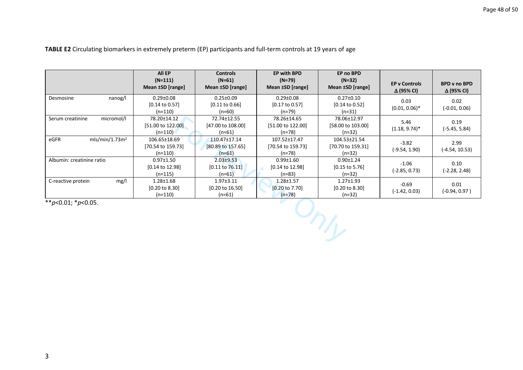|                                    | <b>All EP</b><br>$(N=111)$<br>Mean ±SD [range]             | <b>Controls</b><br>$(N=61)$<br>Mean ±SD [range]          | <b>EP with BPD</b><br>$(N=79)$<br>Mean ±SD [range]        | EP no BPD<br>$(N=32)$<br>Mean ±SD [range]                | <b>EP v Controls</b><br>$\Delta$ (95% CI) | <b>BPD v no BPD</b><br>$\Delta$ (95% CI) |  |
|------------------------------------|------------------------------------------------------------|----------------------------------------------------------|-----------------------------------------------------------|----------------------------------------------------------|-------------------------------------------|------------------------------------------|--|
| nanog/l<br>Desmosine               | $0.29 \pm 0.08$<br>[0.14 to 0.57]<br>$(n=110)$             | $0.25 \pm 0.09$<br>$[0.11 \text{ to } 0.66]$<br>$(n=60)$ | $0.29 \pm 0.08$<br>$[0.17 \text{ to } 0.57]$<br>$(n=79)$  | $0.27 \pm 0.10$<br>$[0.14 \text{ to } 0.52]$<br>$(n=31)$ | 0.03<br>$(0.01, 0.06)^*$                  | 0.02<br>$(-0.01, 0.06)$                  |  |
| micromol/l<br>Serum creatinine     | 78.20±14.12<br>[51.00 to 122.00]<br>$(n=110)$              | 72.74±12.55<br>[47.00 to 108.00]<br>$(n=61)$             | 78.26±14.65<br>[51.00 to 122.00]<br>$(n=78)$              | 78.06±12.97<br>[58.00 to 103.00]<br>$(n=32)$             | 5.46<br>$(1.18, 9.74)^*$                  | 0.19<br>$(-5.45, 5.84)$                  |  |
| mls/min/1.73m <sup>2</sup><br>eGFR | 106.65±18.69<br>[70.54 to 159.73]<br>$(n=110)$             | 110.47±17.14<br>[80.89 to 157.65]<br>$(n=61)$            | 107.52±17.47<br>[70.54 to 159.73]<br>$(n=78)$             | 104.53±21.54<br>[70.70 to 159.31]<br>$(n=32)$            | $-3.82$<br>$(-9.54, 1.90)$                | 2.99<br>$(-4.54, 10.53)$                 |  |
| Albumin: creatinine ratio          | $0.97 \pm 1.50$<br>$[0.14 \text{ to } 12.98]$<br>$(n=115)$ | $2.03 + 9.53$<br>$[0.11 \text{ to } 76.11]$<br>$(n=61)$  | $0.99 \pm 1.60$<br>$[0.14 \text{ to } 12.98]$<br>$(n=83)$ | $0.90 \pm 1.24$<br>$[0.15 \text{ to } 5.76]$<br>$(n=32)$ | $-1.06$<br>$(-2.85, 0.73)$                | 0.10<br>$(-2.28, 2.48)$                  |  |
| mg/l<br>C-reactive protein         | $1.28 \pm 1.68$<br>$[0.20 \text{ to } 8.30]$<br>$(n=110)$  | $1.97 + 3.11$<br>$[0.20 \text{ to } 16.50]$<br>$(n=61)$  | $1.28 \pm 1.57$<br>[0.20 to 7.70]<br>$(n=78)$             | $1.27 \pm 1.93$<br>$[0.20 \text{ to } 8.30]$<br>$(n=32)$ | $-0.69$<br>$(-1.42, 0.03)$                | 0.01<br>$(-0.94, 0.97)$                  |  |
| ** $p<0.01$ ; * $p<0.05$ .<br>//   |                                                            |                                                          |                                                           |                                                          |                                           |                                          |  |

**TABLE E2** Circulating biomarkers in extremely preterm (EP) participants and full-term controls at 19 years of age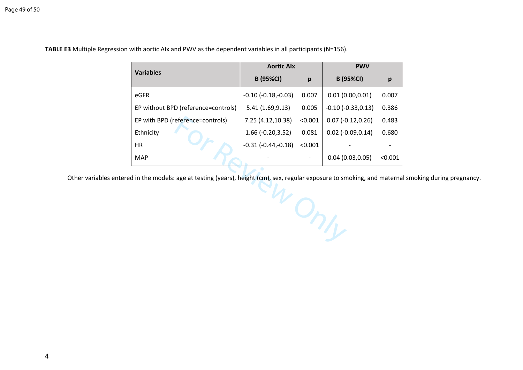| <b>Variables</b>                    | <b>Aortic Alx</b>       |         | <b>PWV</b>               |         |  |
|-------------------------------------|-------------------------|---------|--------------------------|---------|--|
|                                     | <b>B</b> (95%CI)<br>p   |         | <b>B</b> (95%CI)         | p       |  |
| eGFR                                | $-0.10$ $(-0.18,-0.03)$ | 0.007   | 0.01(0.00, 0.01)         | 0.007   |  |
| EP without BPD (reference=controls) | 5.41(1.69, 9.13)        | 0.005   | $-0.10$ $(-0.33, 0.13)$  | 0.386   |  |
| EP with BPD (reference=controls)    | 7.25 (4.12,10.38)       | < 0.001 | $0.07 (-0.12, 0.26)$     | 0.483   |  |
| Ethnicity                           | $1.66$ ( $-0.20,3.52$ ) | 0.081   | $0.02$ ( $-0.09, 0.14$ ) | 0.680   |  |
| НR                                  | $-0.31(-0.44,-0.18)$    | < 0.001 |                          |         |  |
| <b>MAP</b>                          |                         |         | 0.04(0.03,0.05)          | < 0.001 |  |

**TABLE E3** Multiple Regression with aortic AIx and PWV as the dependent variables in all participants (N=156).

For Review Only Other variables entered in the models: age at testing (years), height (cm), sex, regular exposure to smoking, and maternal smoking during pregnancy.